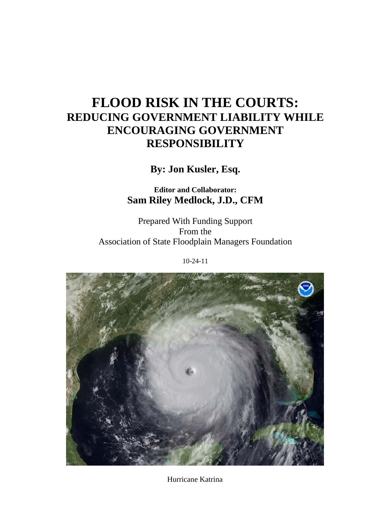# **FLOOD RISK IN THE COURTS: REDUCING GOVERNMENT LIABILITY WHILE ENCOURAGING GOVERNMENT RESPONSIBILITY**

**By: Jon Kusler, Esq.**

**Editor and Collaborator: Sam Riley Medlock, J.D., CFM**

Prepared With Funding Support From the Association of State Floodplain Managers Foundation

10-24-11



Hurricane Katrina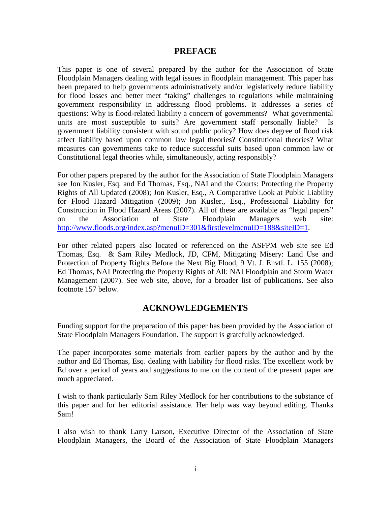#### **PREFACE**

<span id="page-1-0"></span>This paper is one of several prepared by the author for the Association of State Floodplain Managers dealing with legal issues in floodplain management. This paper has been prepared to help governments administratively and/or legislatively reduce liability for flood losses and better meet "taking" challenges to regulations while maintaining government responsibility in addressing flood problems. It addresses a series of questions: Why is flood-related liability a concern of governments? What governmental units are most susceptible to suits? Are government staff personally liable? Is government liability consistent with sound public policy? How does degree of flood risk affect liability based upon common law legal theories? Constitutional theories? What measures can governments take to reduce successful suits based upon common law or Constitutional legal theories while, simultaneously, acting responsibly?

For other papers prepared by the author for the Association of State Floodplain Managers see Jon Kusler, Esq. and Ed Thomas, Esq., NAI and the Courts: Protecting the Property Rights of All Updated (2008); Jon Kusler, Esq., A Comparative Look at Public Liability for Flood Hazard Mitigation (2009); Jon Kusler., Esq., Professional Liability for Construction in Flood Hazard Areas (2007). All of these are available as "legal papers" on the Association of State Floodplain Managers web site: [http://www.floods.org/index.asp?menuID=301&firstlevelmenuID=188&siteID=1.](http://www.floods.org/index.asp?menuID=301&firstlevelmenuID=188&siteID=1)

For other related papers also located or referenced on the ASFPM web site see Ed Thomas, Esq. & Sam Riley Medlock, JD, CFM, Mitigating Misery: Land Use and Protection of Property Rights Before the Next Big Flood, 9 Vt. J. Envtl. L. 155 (2008); Ed Thomas, NAI Protecting the Property Rights of All: NAI Floodplain and Storm Water Management (2007). See web site, above, for a broader list of publications. See also footnote 157 below.

# **ACKNOWLEDGEMENTS**

<span id="page-1-1"></span>Funding support for the preparation of this paper has been provided by the Association of State Floodplain Managers Foundation. The support is gratefully acknowledged.

The paper incorporates some materials from earlier papers by the author and by the author and Ed Thomas, Esq. dealing with liability for flood risks. The excellent work by Ed over a period of years and suggestions to me on the content of the present paper are much appreciated.

I wish to thank particularly Sam Riley Medlock for her contributions to the substance of this paper and for her editorial assistance. Her help was way beyond editing. Thanks Sam!

I also wish to thank Larry Larson, Executive Director of the Association of State Floodplain Managers, the Board of the Association of State Floodplain Managers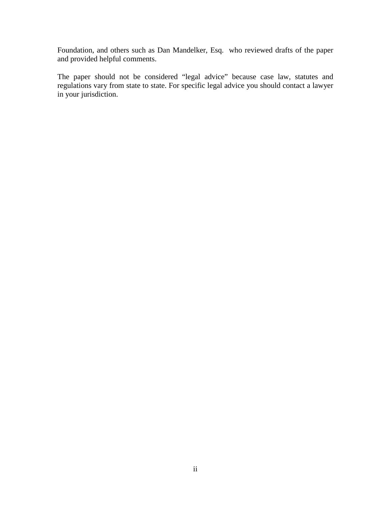Foundation, and others such as Dan Mandelker, Esq. who reviewed drafts of the paper and provided helpful comments.

The paper should not be considered "legal advice" because case law, statutes and regulations vary from state to state. For specific legal advice you should contact a lawyer in your jurisdiction.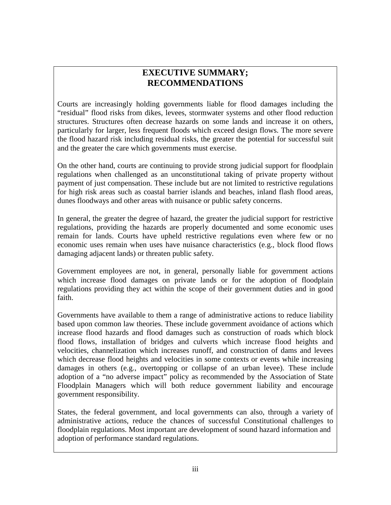# **EXECUTIVE SUMMARY; RECOMMENDATIONS**

<span id="page-3-0"></span>Courts are increasingly holding governments liable for flood damages including the "residual" flood risks from dikes, levees, stormwater systems and other flood reduction structures. Structures often decrease hazards on some lands and increase it on others, particularly for larger, less frequent floods which exceed design flows. The more severe the flood hazard risk including residual risks, the greater the potential for successful suit and the greater the care which governments must exercise.

On the other hand, courts are continuing to provide strong judicial support for floodplain regulations when challenged as an unconstitutional taking of private property without payment of just compensation. These include but are not limited to restrictive regulations for high risk areas such as coastal barrier islands and beaches, inland flash flood areas, dunes floodways and other areas with nuisance or public safety concerns.

In general, the greater the degree of hazard, the greater the judicial support for restrictive regulations, providing the hazards are properly documented and some economic uses remain for lands. Courts have upheld restrictive regulations even where few or no economic uses remain when uses have nuisance characteristics (e.g., block flood flows damaging adjacent lands) or threaten public safety.

Government employees are not, in general, personally liable for government actions which increase flood damages on private lands or for the adoption of floodplain regulations providing they act within the scope of their government duties and in good faith.

Governments have available to them a range of administrative actions to reduce liability based upon common law theories. These include government avoidance of actions which increase flood hazards and flood damages such as construction of roads which block flood flows, installation of bridges and culverts which increase flood heights and velocities, channelization which increases runoff, and construction of dams and levees which decrease flood heights and velocities in some contexts or events while increasing damages in others (e.g., overtopping or collapse of an urban levee). These include adoption of a "no adverse impact" policy as recommended by the Association of State Floodplain Managers which will both reduce government liability and encourage government responsibility.

States, the federal government, and local governments can also, through a variety of administrative actions, reduce the chances of successful Constitutional challenges to floodplain regulations. Most important are development of sound hazard information and adoption of performance standard regulations.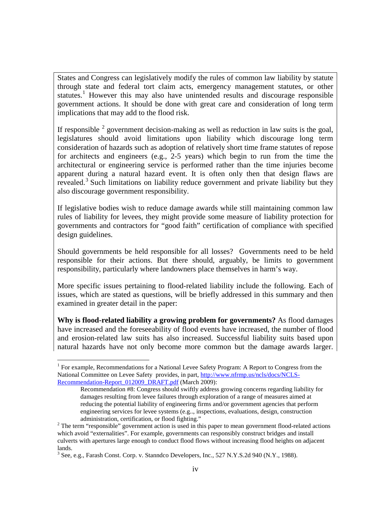States and Congress can legislatively modify the rules of common law liability by statute through state and federal tort claim acts, emergency management statutes, or other statutes.<sup>[1](#page-4-0)</sup> However this may also have unintended results and discourage responsible government actions. It should be done with great care and consideration of long term implications that may add to the flood risk.

If responsible  $2$  government decision-making as well as reduction in law suits is the goal, legislatures should avoid limitations upon liability which discourage long term consideration of hazards such as adoption of relatively short time frame statutes of repose for architects and engineers (e.g., 2-5 years) which begin to run from the time the architectural or engineering service is performed rather than the time injuries become apparent during a natural hazard event. It is often only then that design flaws are revealed.<sup>[3](#page-4-2)</sup> Such limitations on liability reduce government and private liability but they also discourage government responsibility.

If legislative bodies wish to reduce damage awards while still maintaining common law rules of liability for levees, they might provide some measure of liability protection for governments and contractors for "good faith" certification of compliance with specified design guidelines.

Should governments be held responsible for all losses? Governments need to be held responsible for their actions. But there should, arguably, be limits to government responsibility, particularly where landowners place themselves in harm's way.

More specific issues pertaining to flood-related liability include the following. Each of issues, which are stated as questions, will be briefly addressed in this summary and then examined in greater detail in the paper:

**Why is flood-related liability a growing problem for governments?** As flood damages have increased and the foreseeability of flood events have increased, the number of flood and erosion-related law suits has also increased. Successful liability suits based upon natural hazards have not only become more common but the damage awards larger.

<span id="page-4-0"></span> <sup>1</sup> For example, Recommendations for a National Levee Safety Program: A Report to Congress from the National Committee on Levee Safety provides, in part, [http://www.nfrmp.us/ncls/docs/NCLS-](http://www.nfrmp.us/ncls/docs/NCLS-Recommendation-Report_012009_DRAFT.pdf)[Recommendation-Report\\_012009\\_DRAFT.pdf](http://www.nfrmp.us/ncls/docs/NCLS-Recommendation-Report_012009_DRAFT.pdf) (March 2009):

Recommendation #8: Congress should swiftly address growing concerns regarding liability for damages resulting from levee failures through exploration of a range of measures aimed at reducing the potential liability of engineering firms and/or government agencies that perform engineering services for levee systems (e.g.., inspections, evaluations, design, construction

<span id="page-4-1"></span>administration, certification, or flood fighting."<br><sup>2</sup> The term "responsible" government action is used in this paper to mean government flood-related actions which avoid "externalities". For example, governments can responsibly construct bridges and install culverts with apertures large enough to conduct flood flows without increasing flood heights on adjacent lands.

<span id="page-4-2"></span><sup>3</sup> See, e.g., Farash Const. Corp. v. Stanndco Developers, Inc., 527 N.Y.S.2d 940 (N.Y., 1988).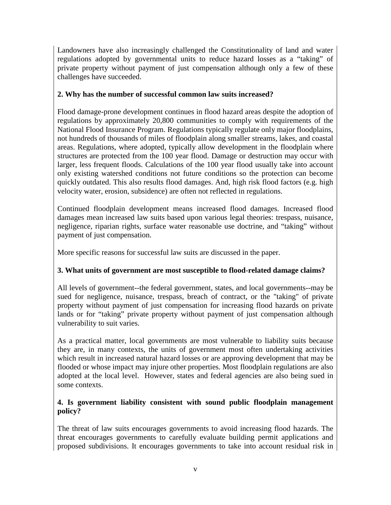Landowners have also increasingly challenged the Constitutionality of land and water regulations adopted by governmental units to reduce hazard losses as a "taking" of private property without payment of just compensation although only a few of these challenges have succeeded.

### **2. Why has the number of successful common law suits increased?**

Flood damage-prone development continues in flood hazard areas despite the adoption of regulations by approximately 20,800 communities to comply with requirements of the National Flood Insurance Program. Regulations typically regulate only major floodplains, not hundreds of thousands of miles of floodplain along smaller streams, lakes, and coastal areas. Regulations, where adopted, typically allow development in the floodplain where structures are protected from the 100 year flood. Damage or destruction may occur with larger, less frequent floods. Calculations of the 100 year flood usually take into account only existing watershed conditions not future conditions so the protection can become quickly outdated. This also results flood damages. And, high risk flood factors (e.g. high velocity water, erosion, subsidence) are often not reflected in regulations.

Continued floodplain development means increased flood damages. Increased flood damages mean increased law suits based upon various legal theories: trespass, nuisance, negligence, riparian rights, surface water reasonable use doctrine, and "taking" without payment of just compensation.

More specific reasons for successful law suits are discussed in the paper.

# **3. What units of government are most susceptible to flood-related damage claims?**

All levels of government--the federal government, states, and local governments--may be sued for negligence, nuisance, trespass, breach of contract, or the "taking" of private property without payment of just compensation for increasing flood hazards on private lands or for "taking" private property without payment of just compensation although vulnerability to suit varies.

As a practical matter, local governments are most vulnerable to liability suits because they are, in many contexts, the units of government most often undertaking activities which result in increased natural hazard losses or are approving development that may be flooded or whose impact may injure other properties. Most floodplain regulations are also adopted at the local level. However, states and federal agencies are also being sued in some contexts.

#### **4. Is government liability consistent with sound public floodplain management policy?**

The threat of law suits encourages governments to avoid increasing flood hazards. The threat encourages governments to carefully evaluate building permit applications and proposed subdivisions. It encourages governments to take into account residual risk in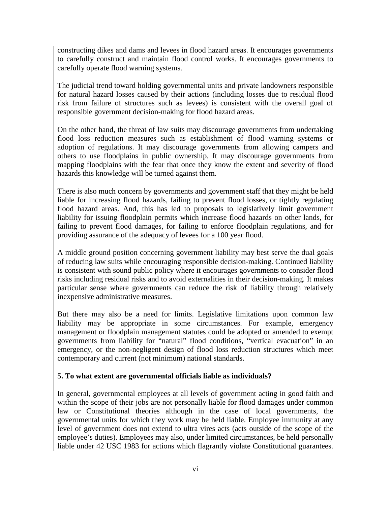constructing dikes and dams and levees in flood hazard areas. It encourages governments to carefully construct and maintain flood control works. It encourages governments to carefully operate flood warning systems.

The judicial trend toward holding governmental units and private landowners responsible for natural hazard losses caused by their actions (including losses due to residual flood risk from failure of structures such as levees) is consistent with the overall goal of responsible government decision-making for flood hazard areas.

On the other hand, the threat of law suits may discourage governments from undertaking flood loss reduction measures such as establishment of flood warning systems or adoption of regulations. It may discourage governments from allowing campers and others to use floodplains in public ownership. It may discourage governments from mapping floodplains with the fear that once they know the extent and severity of flood hazards this knowledge will be turned against them.

There is also much concern by governments and government staff that they might be held liable for increasing flood hazards, failing to prevent flood losses, or tightly regulating flood hazard areas. And, this has led to proposals to legislatively limit government liability for issuing floodplain permits which increase flood hazards on other lands, for failing to prevent flood damages, for failing to enforce floodplain regulations, and for providing assurance of the adequacy of levees for a 100 year flood.

A middle ground position concerning government liability may best serve the dual goals of reducing law suits while encouraging responsible decision-making. Continued liability is consistent with sound public policy where it encourages governments to consider flood risks including residual risks and to avoid externalities in their decision-making. It makes particular sense where governments can reduce the risk of liability through relatively inexpensive administrative measures.

But there may also be a need for limits. Legislative limitations upon common law liability may be appropriate in some circumstances. For example, emergency management or floodplain management statutes could be adopted or amended to exempt governments from liability for "natural" flood conditions, "vertical evacuation" in an emergency, or the non-negligent design of flood loss reduction structures which meet contemporary and current (not minimum) national standards.

#### **5. To what extent are governmental officials liable as individuals?**

In general, governmental employees at all levels of government acting in good faith and within the scope of their jobs are not personally liable for flood damages under common law or Constitutional theories although in the case of local governments, the governmental units for which they work may be held liable. Employee immunity at any level of government does not extend to ultra vires acts (acts outside of the scope of the employee's duties). Employees may also, under limited circumstances, be held personally liable under 42 USC 1983 for actions which flagrantly violate Constitutional guarantees.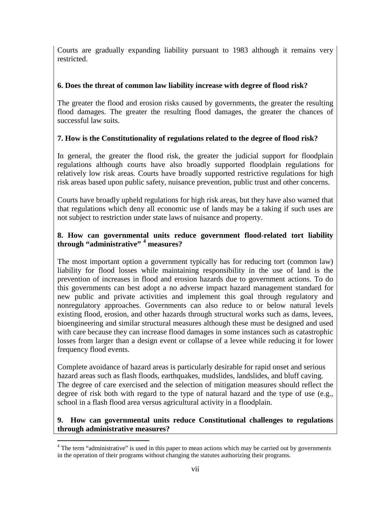Courts are gradually expanding liability pursuant to 1983 although it remains very restricted.

### **6. Does the threat of common law liability increase with degree of flood risk?**

The greater the flood and erosion risks caused by governments, the greater the resulting flood damages. The greater the resulting flood damages, the greater the chances of successful law suits.

# **7. How is the Constitutionality of regulations related to the degree of flood risk?**

In general, the greater the flood risk, the greater the judicial support for floodplain regulations although courts have also broadly supported floodplain regulations for relatively low risk areas. Courts have broadly supported restrictive regulations for high risk areas based upon public safety, nuisance prevention, public trust and other concerns.

Courts have broadly upheld regulations for high risk areas, but they have also warned that that regulations which deny all economic use of lands may be a taking if such uses are not subject to restriction under state laws of nuisance and property.

#### **8. How can governmental units reduce government flood-related tort liability through "administrative" [4](#page-7-0) measures?**

The most important option a government typically has for reducing tort (common law) liability for flood losses while maintaining responsibility in the use of land is the prevention of increases in flood and erosion hazards due to government actions. To do this governments can best adopt a no adverse impact hazard management standard for new public and private activities and implement this goal through regulatory and nonregulatory approaches. Governments can also reduce to or below natural levels existing flood, erosion, and other hazards through structural works such as dams, levees, bioengineering and similar structural measures although these must be designed and used with care because they can increase flood damages in some instances such as catastrophic losses from larger than a design event or collapse of a levee while reducing it for lower frequency flood events.

Complete avoidance of hazard areas is particularly desirable for rapid onset and serious hazard areas such as flash floods, earthquakes, mudslides, landslides, and bluff caving. The degree of care exercised and the selection of mitigation measures should reflect the degree of risk both with regard to the type of natural hazard and the type of use (e.g., school in a flash flood area versus agricultural activity in a floodplain.

#### **9. How can governmental units reduce Constitutional challenges to regulations through administrative measures?**

<span id="page-7-0"></span><sup>&</sup>lt;sup>4</sup> The term "administrative" is used in this paper to mean actions which may be carried out by governments in the operation of their programs without changing the statutes authorizing their programs.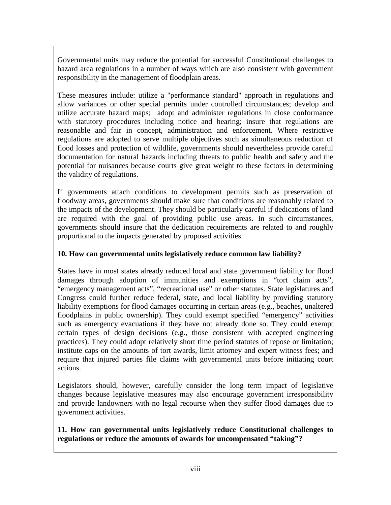Governmental units may reduce the potential for successful Constitutional challenges to hazard area regulations in a number of ways which are also consistent with government responsibility in the management of floodplain areas.

These measures include: utilize a "performance standard" approach in regulations and allow variances or other special permits under controlled circumstances; develop and utilize accurate hazard maps; adopt and administer regulations in close conformance with statutory procedures including notice and hearing; insure that regulations are reasonable and fair in concept, administration and enforcement. Where restrictive regulations are adopted to serve multiple objectives such as simultaneous reduction of flood losses and protection of wildlife, governments should nevertheless provide careful documentation for natural hazards including threats to public health and safety and the potential for nuisances because courts give great weight to these factors in determining the validity of regulations.

If governments attach conditions to development permits such as preservation of floodway areas, governments should make sure that conditions are reasonably related to the impacts of the development. They should be particularly careful if dedications of land are required with the goal of providing public use areas. In such circumstances, governments should insure that the dedication requirements are related to and roughly proportional to the impacts generated by proposed activities.

## **10. How can governmental units legislatively reduce common law liability?**

States have in most states already reduced local and state government liability for flood damages through adoption of immunities and exemptions in "tort claim acts", "emergency management acts", "recreational use" or other statutes. State legislatures and Congress could further reduce federal, state, and local liability by providing statutory liability exemptions for flood damages occurring in certain areas (e.g., beaches, unaltered floodplains in public ownership). They could exempt specified "emergency" activities such as emergency evacuations if they have not already done so. They could exempt certain types of design decisions (e.g., those consistent with accepted engineering practices). They could adopt relatively short time period statutes of repose or limitation; institute caps on the amounts of tort awards, limit attorney and expert witness fees; and require that injured parties file claims with governmental units before initiating court actions.

Legislators should, however, carefully consider the long term impact of legislative changes because legislative measures may also encourage government irresponsibility and provide landowners with no legal recourse when they suffer flood damages due to government activities.

**11. How can governmental units legislatively reduce Constitutional challenges to regulations or reduce the amounts of awards for uncompensated "taking"?**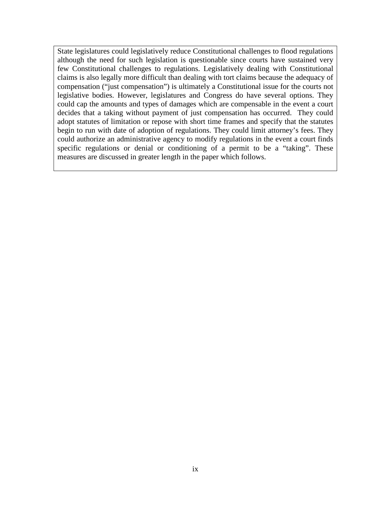State legislatures could legislatively reduce Constitutional challenges to flood regulations although the need for such legislation is questionable since courts have sustained very few Constitutional challenges to regulations. Legislatively dealing with Constitutional claims is also legally more difficult than dealing with tort claims because the adequacy of compensation ("just compensation") is ultimately a Constitutional issue for the courts not legislative bodies. However, legislatures and Congress do have several options. They could cap the amounts and types of damages which are compensable in the event a court decides that a taking without payment of just compensation has occurred. They could adopt statutes of limitation or repose with short time frames and specify that the statutes begin to run with date of adoption of regulations. They could limit attorney's fees. They could authorize an administrative agency to modify regulations in the event a court finds specific regulations or denial or conditioning of a permit to be a "taking". These measures are discussed in greater length in the paper which follows.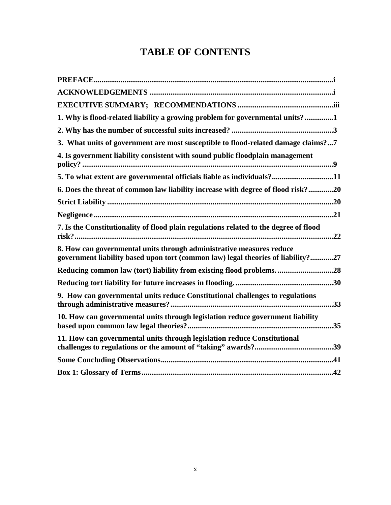# **TABLE OF CONTENTS**

| 1. Why is flood-related liability a growing problem for governmental units?1                                                                             |
|----------------------------------------------------------------------------------------------------------------------------------------------------------|
|                                                                                                                                                          |
| 3. What units of government are most susceptible to flood-related damage claims?7                                                                        |
| 4. Is government liability consistent with sound public floodplain management                                                                            |
| 5. To what extent are governmental officials liable as individuals?11                                                                                    |
| 6. Does the threat of common law liability increase with degree of flood risk?20                                                                         |
|                                                                                                                                                          |
|                                                                                                                                                          |
| 7. Is the Constitutionality of flood plain regulations related to the degree of flood                                                                    |
| 8. How can governmental units through administrative measures reduce<br>government liability based upon tort (common law) legal theories of liability?27 |
| Reducing common law (tort) liability from existing flood problems. 28                                                                                    |
|                                                                                                                                                          |
| 9. How can governmental units reduce Constitutional challenges to regulations                                                                            |
| 10. How can governmental units through legislation reduce government liability                                                                           |
| 11. How can governmental units through legislation reduce Constitutional                                                                                 |
|                                                                                                                                                          |
|                                                                                                                                                          |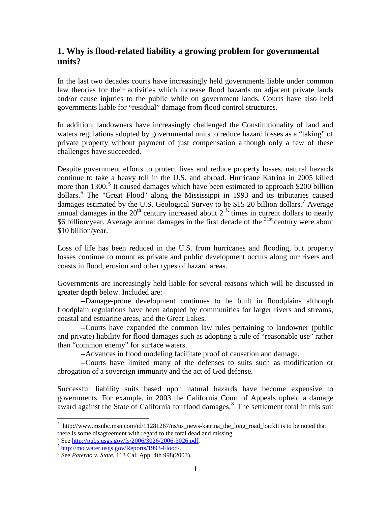# <span id="page-11-0"></span>**1. Why is flood-related liability a growing problem for governmental units?**

In the last two decades courts have increasingly held governments liable under common law theories for their activities which increase flood hazards on adjacent private lands and/or cause injuries to the public while on government lands. Courts have also held governments liable for "residual" damage from flood control structures.

In addition, landowners have increasingly challenged the Constitutionality of land and waters regulations adopted by governmental units to reduce hazard losses as a "taking" of private property without payment of just compensation although only a few of these challenges have succeeded.

Despite government efforts to protect lives and reduce property losses, natural hazards continue to take a heavy toll in the U.S. and abroad. Hurricane Katrina in 2005 killed more than 1300.<sup>[5](#page-11-1)</sup> It caused damages which have been estimated to approach \$200 billion dollars.[6](#page-11-2) The "Great Flood" along the Mississippi in 1993 and its tributaries caused damages estimated by the U.S. Geological Survey to be \$15-20 billion dollars.<sup>[7](#page-11-3)</sup> Average annual damages in the  $20<sup>th</sup>$  century increased about  $2<sup>1/2</sup>$  times in current dollars to nearly \$6 billion/year. Average annual damages in the first decade of the  $^{21st}$  century were about \$10 billion/year.

Loss of life has been reduced in the U.S. from hurricanes and flooding, but property losses continue to mount as private and public development occurs along our rivers and coasts in flood, erosion and other types of hazard areas.

Governments are increasingly held liable for several reasons which will be discussed in greater depth below. Included are:

--Damage-prone development continues to be built in floodplains although floodplain regulations have been adopted by communities for larger rivers and streams, coastal and estuarine areas, and the Great Lakes.

--Courts have expanded the common law rules pertaining to landowner (public and private) liability for flood damages such as adopting a rule of "reasonable use" rather than "common enemy" for surface waters.

--Advances in flood modeling facilitate proof of causation and damage.

--Courts have limited many of the defenses to suits such as modification or abrogation of a sovereign immunity and the act of God defense.

Successful liability suits based upon natural hazards have become expensive to governments. For example, in 2003 the California Court of Appeals upheld a damage award against the State of California for flood damages.<sup>[8](#page-11-4)</sup> The settlement total in this suit

<span id="page-11-1"></span> <sup>5</sup> http://www.msnbc.msn.com/id/11281267/ns/us\_news-katrina\_the\_long\_road\_backIt is to be noted that there is some disagreement with regard to the total dead and missing.<br>
<sup>6</sup> See http://pubs.usgs.gov/fs/2006/3026/2006-3026.pdf.

<span id="page-11-4"></span><span id="page-11-3"></span><span id="page-11-2"></span>Food Enterpressing Second Expediance Contract Conductor Conductor Seconds 2006-3026.<br>
<sup>8</sup> See *Paterno v. State*, 113 Cal. App. 4th 998(2003).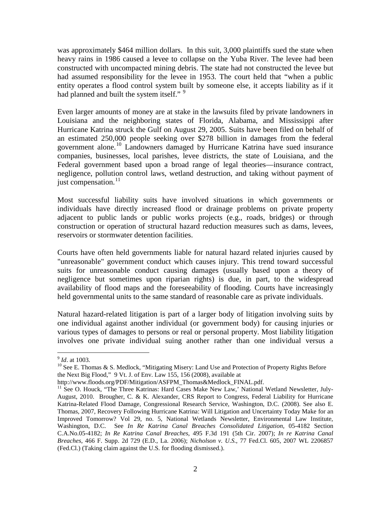was approximately \$464 million dollars. In this suit, 3,000 plaintiffs sued the state when heavy rains in 1986 caused a levee to collapse on the Yuba River. The levee had been constructed with uncompacted mining debris. The state had not constructed the levee but had assumed responsibility for the levee in 1953. The court held that "when a public entity operates a flood control system built by someone else, it accepts liability as if it had planned and built the system itself."<sup>[9](#page-12-0)</sup>

Even larger amounts of money are at stake in the lawsuits filed by private landowners in Louisiana and the neighboring states of Florida, Alabama, and Mississippi after Hurricane Katrina struck the Gulf on August 29, 2005. Suits have been filed on behalf of an estimated 250,000 people seeking over \$278 billion in damages from the federal government alone.[10](#page-12-1) Landowners damaged by Hurricane Katrina have sued insurance companies, businesses, local parishes, levee districts, the state of Louisiana, and the Federal government based upon a broad range of legal theories—insurance contract, negligence, pollution control laws, wetland destruction, and taking without payment of just compensation.<sup>[11](#page-12-2)</sup>

Most successful liability suits have involved situations in which governments or individuals have directly increased flood or drainage problems on private property adjacent to public lands or public works projects (e.g., roads, bridges) or through construction or operation of structural hazard reduction measures such as dams, levees, reservoirs or stormwater detention facilities.

Courts have often held governments liable for natural hazard related injuries caused by "unreasonable" government conduct which causes injury. This trend toward successful suits for unreasonable conduct causing damages (usually based upon a theory of negligence but sometimes upon riparian rights) is due, in part, to the widespread availability of flood maps and the foreseeability of flooding. Courts have increasingly held governmental units to the same standard of reasonable care as private individuals.

Natural hazard-related litigation is part of a larger body of litigation involving suits by one individual against another individual (or government body) for causing injuries or various types of damages to persons or real or personal property. Most liability litigation involves one private individual suing another rather than one individual versus a

<span id="page-12-1"></span><span id="page-12-0"></span> $\frac{9}{10}$  *Id*. at 1003.<br><sup>10</sup> See E. Thomas & S. Medlock, "Mitigating Misery: Land Use and Protection of Property Rights Before the Next Big Flood," 9 Vt. J. of Env. Law 155, 156 (2008), available at http://www.floods.org/PDF/Mitigation/ASFPM Thomas&Medlock FINAL.pdf.

<span id="page-12-2"></span> $11$  See O. Houck, "The Three Katrinas: Hard Cases Make New Law,' National Wetland Newsletter, July-August, 2010. Brougher, C. & K. Alexander, CRS Report to Congress, Federal Liability for Hurricane Katrina-Related Flood Damage, Congressional Research Service, Washington, D.C. (2008). See also E. Thomas, 2007, Recovery Following Hurricane Katrina: Will Litigation and Uncertainty Today Make for an Improved Tomorrow? Vol 29, no. 5, National Wetlands Newsletter, Environmental Law Institute, Washington, D.C. See *In Re Katrina Canal Breaches Consolidated Litigation*, 05-4182 Section C.A.No.05-4182; *In Re Katrina Canal Breaches*, 495 F.3d 191 (5th Cir. 2007); *In re Katrina Canal Breaches*, 466 F. Supp. 2d 729 (E.D., La. 2006); *Nicholson v. U.S.*, 77 Fed.Cl. 605, 2007 WL 2206857 (Fed.Cl.) (Taking claim against the U.S. for flooding dismissed.).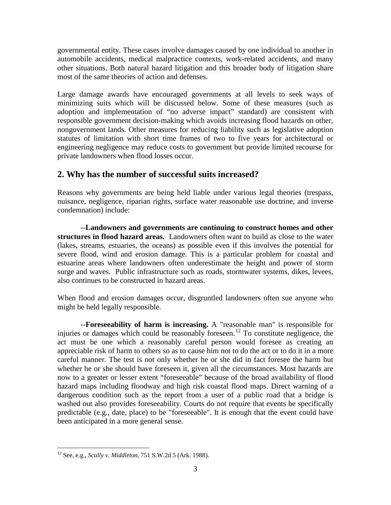governmental entity. These cases involve damages caused by one individual to another in automobile accidents, medical malpractice contexts, work-related accidents, and many other situations. Both natural hazard litigation and this broader body of litigation share most of the same theories of action and defenses.

Large damage awards have encouraged governments at all levels to seek ways of minimizing suits which will be discussed below. Some of these measures (such as adoption and implementation of "no adverse impact" standard) are consistent with responsible government decision-making which avoids increasing flood hazards on other, nongovernment lands. Other measures for reducing liability such as legislative adoption statutes of limitation with short time frames of two to five years for architectural or engineering negligence may reduce costs to government but provide limited recourse for private landowners when flood losses occur.

# <span id="page-13-0"></span>**2. Why has the number of successful suits increased?**

Reasons why governments are being held liable under various legal theories (trespass, nuisance, negligence, riparian rights, surface water reasonable use doctrine, and inverse condemnation) include:

--**Landowners and governments are continuing to construct homes and other structures in flood hazard areas.** Landowners often want to build as close to the water (lakes, streams, estuaries, the oceans) as possible even if this involves the potential for severe flood, wind and erosion damage. This is a particular problem for coastal and estuarine areas where landowners often underestimate the height and power of storm surge and waves. Public infrastructure such as roads, stormwater systems, dikes, levees, also continues to be constructed in hazard areas.

When flood and erosion damages occur, disgruntled landowners often sue anyone who might be held legally responsible.

 --**Foreseeability of harm is increasing.** A "reasonable man" is responsible for injuries or damages which could be reasonably foreseen.<sup>[12](#page-13-1)</sup> To constitute negligence, the act must be one which a reasonably careful person would foresee as creating an appreciable risk of harm to others so as to cause him not to do the act or to do it in a more careful manner. The test is not only whether he or she did in fact foresee the harm but whether he or she should have foreseen it, given all the circumstances. Most hazards are now to a greater or lesser extent "foreseeable" because of the broad availability of flood hazard maps including floodway and high risk coastal flood maps. Direct warning of a dangerous condition such as the report from a user of a public road that a bridge is washed out also provides foreseeability. Courts do not require that events be specifically predictable (e.g., date, place) to be "foreseeable". It is enough that the event could have been anticipated in a more general sense.

<span id="page-13-1"></span> <sup>12</sup> See, e.g., *Scully v. Middleton*, 751 S.W.2d 5 (Ark. 1988).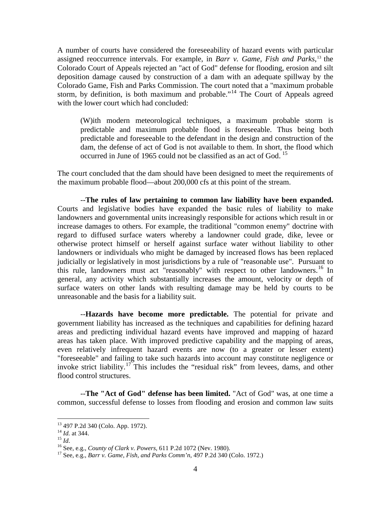A number of courts have considered the foreseeability of hazard events with particular assigned reoccurrence intervals. For example, in *Barr v. Game, Fish and Parks*, [13](#page-14-0) the Colorado Court of Appeals rejected an "act of God" defense for flooding, erosion and silt deposition damage caused by construction of a dam with an adequate spillway by the Colorado Game, Fish and Parks Commission. The court noted that a "maximum probable storm, by definition, is both maximum and probable."[14](#page-14-1) The Court of Appeals agreed with the lower court which had concluded:

(W)ith modern meteorological techniques, a maximum probable storm is predictable and maximum probable flood is foreseeable. Thus being both predictable and foreseeable to the defendant in the design and construction of the dam, the defense of act of God is not available to them. In short, the flood which occurred in June of 1965 could not be classified as an act of God. <sup>[15](#page-14-2)</sup>

The court concluded that the dam should have been designed to meet the requirements of the maximum probable flood—about 200,000 cfs at this point of the stream.

--**The rules of law pertaining to common law liability have been expanded.** Courts and legislative bodies have expanded the basic rules of liability to make landowners and governmental units increasingly responsible for actions which result in or increase damages to others. For example, the traditional "common enemy" doctrine with regard to diffused surface waters whereby a landowner could grade, dike, levee or otherwise protect himself or herself against surface water without liability to other landowners or individuals who might be damaged by increased flows has been replaced judicially or legislatively in most jurisdictions by a rule of "reasonable use". Pursuant to this rule, landowners must act "reasonably" with respect to other landowners.<sup>[16](#page-14-3)</sup> In general, any activity which substantially increases the amount, velocity or depth of surface waters on other lands with resulting damage may be held by courts to be unreasonable and the basis for a liability suit.

--**Hazards have become more predictable.** The potential for private and government liability has increased as the techniques and capabilities for defining hazard areas and predicting individual hazard events have improved and mapping of hazard areas has taken place. With improved predictive capability and the mapping of areas, even relatively infrequent hazard events are now (to a greater or lesser extent) "foreseeable" and failing to take such hazards into account may constitute negligence or invoke strict liability.<sup>[17](#page-14-4)</sup> This includes the "residual risk" from levees, dams, and other flood control structures.

--**The "Act of God" defense has been limited.** "Act of God" was, at one time a common, successful defense to losses from flooding and erosion and common law suits

<span id="page-14-3"></span><span id="page-14-2"></span>

<span id="page-14-4"></span>

<span id="page-14-1"></span><span id="page-14-0"></span><sup>&</sup>lt;sup>13</sup> 497 P.2d 340 (Colo. App. 1972).<br><sup>14</sup> *Id.* at 344.<br><sup>15</sup> *Id.*<br><sup>16</sup> See, e.g., *County of Clark v. Powers*, 611 P.2d 1072 (Nev. 1980).<br><sup>17</sup> See, e.g., *Barr v. Game, Fish, and Parks Comm*'n, 497 P.2d 340 (Colo. 1972.)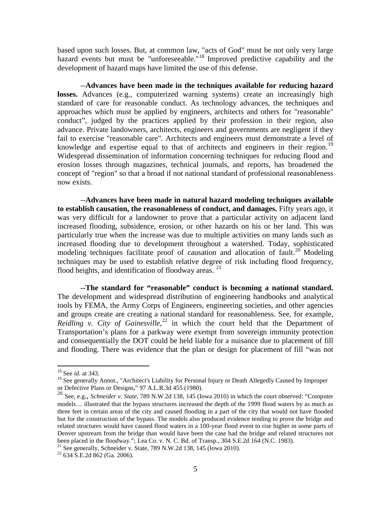based upon such losses. But, at common law, "acts of God" must be not only very large hazard events but must be "unforeseeable."<sup>[18](#page-15-0)</sup> Improved predictive capability and the development of hazard maps have limited the use of this defense.

--**Advances have been made in the techniques available for reducing hazard losses.** Advances (e.g., computerized warning systems) create an increasingly high standard of care for reasonable conduct. As technology advances, the techniques and approaches which must be applied by engineers, architects and others for "reasonable" conduct", judged by the practices applied by their profession in their region, also advance. Private landowners, architects, engineers and governments are negligent if they fail to exercise "reasonable care". Architects and engineers must demonstrate a level of knowledge and expertise equal to that of architects and engineers in their region.<sup>[19](#page-15-1)</sup> Widespread dissemination of information concerning techniques for reducing flood and erosion losses through magazines, technical journals, and reports, has broadened the concept of "region" so that a broad if not national standard of professional reasonableness now exists.

--**Advances have been made in natural hazard modeling techniques available to establish causation, the reasonableness of conduct, and damages.** Fifty years ago, it was very difficult for a landowner to prove that a particular activity on adjacent land increased flooding, subsidence, erosion, or other hazards on his or her land. This was particularly true when the increase was due to multiple activities on many lands such as increased flooding due to development throughout a watershed. Today, sophisticated modeling techniques facilitate proof of causation and allocation of fault.<sup>[20](#page-15-2)</sup> Modeling techniques may be used to establish relative degree of risk including flood frequency, flood heights, and identification of floodway areas. [21](#page-15-3)

**--The standard for "reasonable" conduct is becoming a national standard.** The development and widespread distribution of engineering handbooks and analytical tools by FEMA, the Army Corps of Engineers, engineering societies, and other agencies and groups create are creating a national standard for reasonableness. See, for example, *Reidling v. City of Gainesville*, [22](#page-15-4) in which the court held that the Department of Transportation's plans for a parkway were exempt from sovereign immunity protection and consequentially the DOT could be held liable for a nuisance due to placement of fill and flooding. There was evidence that the plan or design for placement of fill "was not

<span id="page-15-0"></span> <sup>18</sup> See *id.* at 343.

<span id="page-15-1"></span><sup>&</sup>lt;sup>19</sup> See generally Annot., "Architect's Liability for Personal Injury or Death Allegedly Caused by Improper or Defective Plans or Designs," 97 A.L.R.3d 455 (1980).

<span id="page-15-2"></span><sup>20</sup> See, e.g., *Schneider v. State,* 789 N.W.2d 138, 145 (Iowa 2010) in which the court observed: "Computer models… illustrated that the bypass structures increased the depth of the 1999 flood waters by as much as three feet in certain areas of the city and caused flooding in a part of the city that would not have flooded but for the construction of the bypass. The models also produced evidence tending to prove the bridge and related structures would have caused flood waters in a 100-year flood event to rise higher in some parts of Denver upstream from the bridge than would have been the case had the bridge and related structures not been placed in the floodway."; Lea Co. v. N. C. Bd. of Transp., 304 S.E.2d 164 (N.C. 1983). <sup>21</sup> See generally, Schneider v. State, 789 N.W.2d 138, 145 (Iowa 2010). <sup>22</sup> 634 S.E.2d 862 (Ga. 2006).

<span id="page-15-4"></span><span id="page-15-3"></span>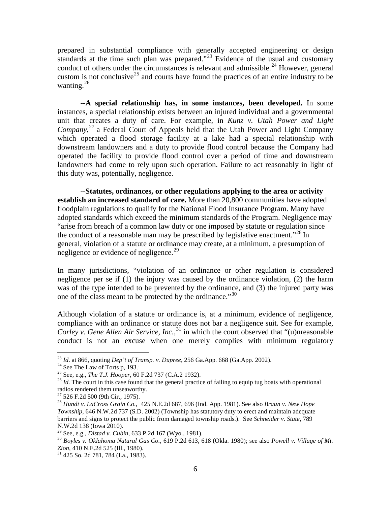prepared in substantial compliance with generally accepted engineering or design standards at the time such plan was prepared."<sup>[23](#page-16-0)</sup> Evidence of the usual and customary conduct of others under the circumstances is relevant and admissible.<sup>[24](#page-16-1)</sup> However, general custom is not conclusive<sup>[25](#page-16-2)</sup> and courts have found the practices of an entire industry to be wanting.<sup>[26](#page-16-3)</sup>

--**A special relationship has, in some instances, been developed.** In some instances, a special relationship exists between an injured individual and a governmental unit that creates a duty of care. For example, in *Kunz v. Utah Power and Light Company*, [27](#page-16-4) a Federal Court of Appeals held that the Utah Power and Light Company which operated a flood storage facility at a lake had a special relationship with downstream landowners and a duty to provide flood control because the Company had operated the facility to provide flood control over a period of time and downstream landowners had come to rely upon such operation. Failure to act reasonably in light of this duty was, potentially, negligence.

--**Statutes, ordinances, or other regulations applying to the area or activity establish an increased standard of care.** More than 20,800 communities have adopted floodplain regulations to qualify for the National Flood Insurance Program. Many have adopted standards which exceed the minimum standards of the Program. Negligence may "arise from breach of a common law duty or one imposed by statute or regulation since the conduct of a reasonable man may be prescribed by legislative enactment.<sup> $28$ </sup> In general, violation of a statute or ordinance may create, at a minimum, a presumption of negligence or evidence of negligence.<sup>[29](#page-16-6)</sup>

In many jurisdictions, "violation of an ordinance or other regulation is considered negligence per se if (1) the injury was caused by the ordinance violation, (2) the harm was of the type intended to be prevented by the ordinance, and (3) the injured party was one of the class meant to be protected by the ordinance."<sup>[30](#page-16-7)</sup>

Although violation of a statute or ordinance is, at a minimum, evidence of negligence, compliance with an ordinance or statute does not bar a negligence suit. See for example, *Corley v. Gene Allen Air Service, Inc.*, [31](#page-16-8) in which the court observed that "(u)nreasonable conduct is not an excuse when one merely complies with minimum regulatory

<span id="page-16-0"></span><sup>&</sup>lt;sup>23</sup> *Id.* at 866, quoting *Dep't of Transp. v. Dupree*, 256 Ga.App. 668 (Ga.App. 2002).<br><sup>24</sup> See The Law of Torts p, 193.<br><sup>25</sup> See, e.g., *The T.J. Hooper*, 60 F.2d 737 (C.A.2 1932).

<span id="page-16-1"></span> $24$  See The Law of Torts p, 193.

<span id="page-16-2"></span>

<span id="page-16-3"></span><sup>&</sup>lt;sup>26</sup> Id. The court in this case found that the general practice of failing to equip tug boats with operational radios rendered them unseaworthy.<br> $^{27}$  526 F.2d 500 (9th Cir., 1975).

<span id="page-16-5"></span><span id="page-16-4"></span><sup>&</sup>lt;sup>28</sup> Hundt v. LaCross Grain Co., 425 N.E.2d 687, 696 (Ind. App. 1981). See also *Braun v. New Hope Township*, 646 N.W.2d 737 (S.D. 2002) (Township has statutory duty to erect and maintain adequate barriers and signs to protect the public from damaged township roads.). See *Schneider v. State*, 789 N.W.2d 138 (Iowa 2010).<br><sup>29</sup> See, e.g., *Distad v. Cubin*, 633 P.2d 167 (Wyo., 1981).

<span id="page-16-7"></span><span id="page-16-6"></span><sup>&</sup>lt;sup>30</sup> Boyles v. Oklahoma Natural Gas Co., 619 P.2d 613, 618 (Okla. 1980); see also *Powell v. Village of Mt.* Zion, 410 N.E.2d 525 (Ill., 1980).

<span id="page-16-8"></span><sup>&</sup>lt;sup>31</sup> 425 So. 2d 781, 784 (La., 1983).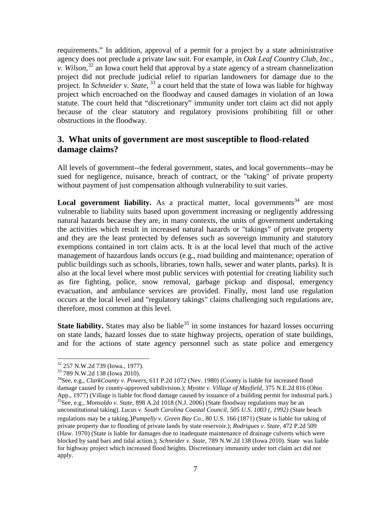requirements." In addition, approval of a permit for a project by a state administrative agency does not preclude a private law suit. For example, in *Oak Leaf Country Club, Inc., v. Wilson*, [32](#page-17-1) an Iowa court held that approval by a state agency of a stream channelization project did not preclude judicial relief to riparian landowners for damage due to the project. In *Schneider v. State*, <sup>[33](#page-17-2)</sup> a court held that the state of Iowa was liable for highway project which encroached on the floodway and caused damages in violation of an Iowa statute. The court held that "discretionary" immunity under tort claim act did not apply because of the clear statutory and regulatory provisions prohibiting fill or other obstructions in the floodway.

# <span id="page-17-0"></span>**3. What units of government are most susceptible to flood-related damage claims?**

All levels of government--the federal government, states, and local governments--may be sued for negligence, nuisance, breach of contract, or the "taking" of private property without payment of just compensation although vulnerability to suit varies.

**Local government liability.** As a practical matter, local governments<sup>[34](#page-17-3)</sup> are most vulnerable to liability suits based upon government increasing or negligently addressing natural hazards because they are, in many contexts, the units of government undertaking the activities which result in increased natural hazards or "takings" of private property and they are the least protected by defenses such as sovereign immunity and statutory exemptions contained in tort claim acts. It is at the local level that much of the active management of hazardous lands occurs (e.g., road building and maintenance; operation of public buildings such as schools, libraries, town halls, sewer and water plants, parks). It is also at the local level where most public services with potential for creating liability such as fire fighting, police, snow removal, garbage pickup and disposal, emergency evacuation, and ambulance services are provided. Finally, most land use regulation occurs at the local level and "regulatory takings" claims challenging such regulations are, therefore, most common at this level.

**State liability.** States may also be liable  $35$  in some instances for hazard losses occurring on state lands, hazard losses due to state highway projects, operation of state buildings, and for the actions of state agency personnel such as state police and emergency

<span id="page-17-4"></span><span id="page-17-3"></span>

<span id="page-17-2"></span><span id="page-17-1"></span><sup>&</sup>lt;sup>32</sup> 257 N.W.2d 739 (Iowa., 1977).<br><sup>33</sup> 789 N.W.2d 138 (Iowa 2010).<br><sup>34</sup>See, e.g., *ClarkCounty v. Powers*, 611 P.2d 1072 (Nev. 1980) (County is liable for increased flood damage caused by county-approved subdivision.); *Myotte v. Village of Mayfield*, 375 N.E.2d 816 (Ohio App., 1977) (Village is liable for flood damage caused by issuance of a building permit for industrial park.) <sup>35</sup>See, e.g., *Monsoldo v. State*, 898 A.2d 1018 (N.J. 2006) (State floodway regulations may be an unconstitutional taking). *Lucas v. South Carolina Coastal Council, 505 U.S. 1003 (, 1992)* (State beach regulations may be a taking.)*Pumpelly v. Green Bay Co.*, 80 U.S. 166 (1871) (State is liable for taking of private property due to flooding of private lands by state reservoir.); *Rodrigues v. State*, 472 P.2d 509 (Haw. 1970) (State is liable for damages due to inadequate maintenance of drainage culverts which were blocked by sand bars and tidal action.); *Schneider v. State*, 789 N.W.2d 138 (Iowa 2010). State was liable for highway project which increased flood heights. Discretionary immunity under tort claim act did not apply.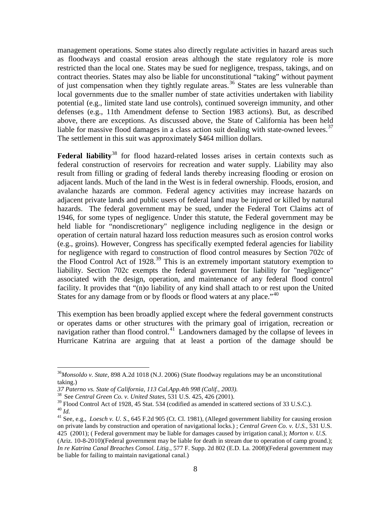management operations. Some states also directly regulate activities in hazard areas such as floodways and coastal erosion areas although the state regulatory role is more restricted than the local one. States may be sued for negligence, trespass, takings, and on contract theories. States may also be liable for unconstitutional "taking" without payment of just compensation when they tightly regulate areas.<sup>[36](#page-18-0)</sup> States are less vulnerable than local governments due to the smaller number of state activities undertaken with liability potential (e.g., limited state land use controls), continued sovereign immunity, and other defenses (e.g., 11th Amendment defense to Section 1983 actions). But, as described above, there are exceptions. As discussed above, the State of California has been held liable for massive flood damages in a class action suit dealing with state-owned levees.<sup>[37](#page-18-1)</sup> The settlement in this suit was approximately \$464 million dollars.

Federal liability<sup>[38](#page-18-2)</sup> for flood hazard-related losses arises in certain contexts such as federal construction of reservoirs for recreation and water supply. Liability may also result from filling or grading of federal lands thereby increasing flooding or erosion on adjacent lands. Much of the land in the West is in federal ownership. Floods, erosion, and avalanche hazards are common. Federal agency activities may increase hazards on adjacent private lands and public users of federal land may be injured or killed by natural hazards. The federal government may be sued, under the Federal Tort Claims act of 1946, for some types of negligence. Under this statute, the Federal government may be held liable for "nondiscretionary" negligence including negligence in the design or operation of certain natural hazard loss reduction measures such as erosion control works (e.g., groins). However, Congress has specifically exempted federal agencies for liability for negligence with regard to construction of flood control measures by Section 702c of the Flood Control Act of 1928.<sup>[39](#page-18-3)</sup> This is an extremely important statutory exemption to liability. Section 702c exempts the federal government for liability for "negligence" associated with the design, operation, and maintenance of any federal flood control facility. It provides that "(n)o liability of any kind shall attach to or rest upon the United States for any damage from or by floods or flood waters at any place."<sup>[40](#page-18-4)</sup>

This exemption has been broadly applied except where the federal government constructs or operates dams or other structures with the primary goal of irrigation, recreation or navigation rather than flood control.<sup>[41](#page-18-5)</sup> Landowners damaged by the collapse of levees in Hurricane Katrina are arguing that at least a portion of the damage should be

<span id="page-18-0"></span> <sup>36</sup>*Monsoldo v. State*, 898 A.2d 1018 (N.J. 2006) (State floodway regulations may be an unconstitutional taking.)<br>37 Paterno vs. State of California, 113 Cal.App.4th 998 (Calif., 2003).

<span id="page-18-3"></span><span id="page-18-2"></span><span id="page-18-1"></span><sup>&</sup>lt;sup>38</sup> See *Central Green Co. v. United States*, 531 U.S. 425, 426 (2001).<br><sup>39</sup> Flood Control Act of 1928, 45 Stat. 534 (codified as amended in scattered sections of 33 U.S.C.). <sup>40</sup> *Id.*<br><sup>41</sup> See, e.g., *Loesch v. U. S.*, 645 F.2d 905 (Ct. Cl. 1981), (Alleged government liability for causing erosion

<span id="page-18-5"></span><span id="page-18-4"></span>on private lands by construction and operation of navigational locks.) ; *Central Green Co. v. U.S.*, 531 U.S. 425 (2001); ( Federal government may be liable for damages caused by irrigation canal.); *Morton v. U.S.* (Ariz. 10-8-2010)(Federal government may be liable for death in stream due to operation of camp ground.); *In re Katrina Canal Breaches Consol. Litig.*[, 577 F. Supp. 2d 802](http://www.loislaw.com/pns/doclink.htp?alias=FDCR&cite=577+F.+Supp.2d+802) (E.D. La. 2008)(Federal government may be liable for failing to maintain navigational canal.)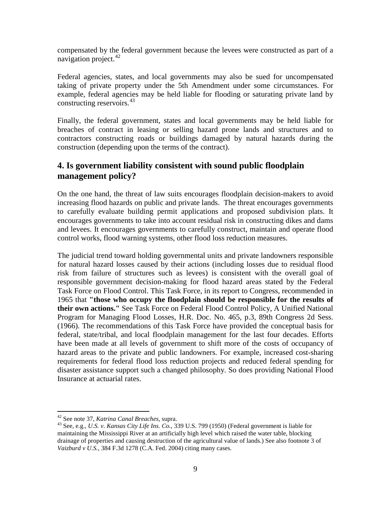compensated by the federal government because the levees were constructed as part of a navigation project.  $42$ 

Federal agencies, states, and local governments may also be sued for uncompensated taking of private property under the 5th Amendment under some circumstances. For example, federal agencies may be held liable for flooding or saturating private land by constructing reservoirs.<sup>[43](#page-19-2)</sup>

Finally, the federal government, states and local governments may be held liable for breaches of contract in leasing or selling hazard prone lands and structures and to contractors constructing roads or buildings damaged by natural hazards during the construction (depending upon the terms of the contract).

# <span id="page-19-0"></span>**4. Is government liability consistent with sound public floodplain management policy?**

On the one hand, the threat of law suits encourages floodplain decision-makers to avoid increasing flood hazards on public and private lands. The threat encourages governments to carefully evaluate building permit applications and proposed subdivision plats. It encourages governments to take into account residual risk in constructing dikes and dams and levees. It encourages governments to carefully construct, maintain and operate flood control works, flood warning systems, other flood loss reduction measures.

The judicial trend toward holding governmental units and private landowners responsible for natural hazard losses caused by their actions (including losses due to residual flood risk from failure of structures such as levees) is consistent with the overall goal of responsible government decision-making for flood hazard areas stated by the Federal Task Force on Flood Control. This Task Force, in its report to Congress, recommended in 1965 that **"those who occupy the floodplain should be responsible for the results of their own actions."** See Task Force on Federal Flood Control Policy, A Unified National Program for Managing Flood Losses, H.R. Doc. No. 465, p.3, 89th Congress 2d Sess. (1966). The recommendations of this Task Force have provided the conceptual basis for federal, state/tribal, and local floodplain management for the last four decades. Efforts have been made at all levels of government to shift more of the costs of occupancy of hazard areas to the private and public landowners. For example, increased cost-sharing requirements for federal flood loss reduction projects and reduced federal spending for disaster assistance support such a changed philosophy. So does providing National Flood Insurance at actuarial rates.

<span id="page-19-2"></span><span id="page-19-1"></span><sup>&</sup>lt;sup>42</sup> See note 37, *Katrina Canal Breaches*, supra.<br><sup>43</sup> See, e.g., *U.S. v. Kansas City Life Ins. Co.*, 339 U.S. 799 (1950) (Federal government is liable for maintaining the Mississippi River at an artificially high level which raised the water table, blocking drainage of properties and causing destruction of the agricultural value of lands.) See also footnote 3 of *Vaizburd v U.S.*, 384 F.3d 1278 (C.A. Fed. 2004) citing many cases.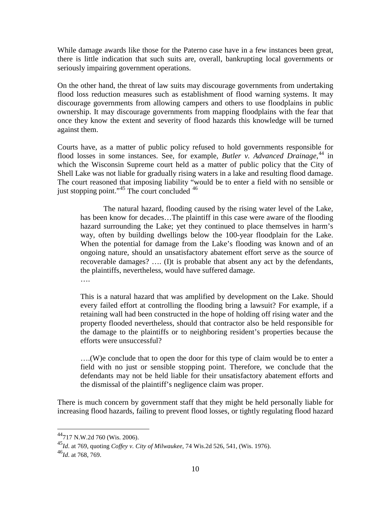While damage awards like those for the Paterno case have in a few instances been great, there is little indication that such suits are, overall, bankrupting local governments or seriously impairing government operations.

On the other hand, the threat of law suits may discourage governments from undertaking flood loss reduction measures such as establishment of flood warning systems. It may discourage governments from allowing campers and others to use floodplains in public ownership. It may discourage governments from mapping floodplains with the fear that once they know the extent and severity of flood hazards this knowledge will be turned against them.

Courts have, as a matter of public policy refused to hold governments responsible for flood losses in some instances. See, for example, *Butler v. Advanced Drainage*,<sup>[44](#page-20-0)</sup> in which the Wisconsin Supreme court held as a matter of public policy that the City of Shell Lake was not liable for gradually rising waters in a lake and resulting flood damage. The court reasoned that imposing liability "would be to enter a field with no sensible or just stopping point."<sup>[45](#page-20-1)</sup> The court concluded  $46$ 

The natural hazard, flooding caused by the rising water level of the Lake, has been know for decades…The plaintiff in this case were aware of the flooding hazard surrounding the Lake; yet they continued to place themselves in harm's way, often by building dwellings below the 100-year floodplain for the Lake. When the potential for damage from the Lake's flooding was known and of an ongoing nature, should an unsatisfactory abatement effort serve as the source of recoverable damages? …. (I)t is probable that absent any act by the defendants, the plaintiffs, nevertheless, would have suffered damage.

….

This is a natural hazard that was amplified by development on the Lake. Should every failed effort at controlling the flooding bring a lawsuit? For example, if a retaining wall had been constructed in the hope of holding off rising water and the property flooded nevertheless, should that contractor also be held responsible for the damage to the plaintiffs or to neighboring resident's properties because the efforts were unsuccessful?

….(W)e conclude that to open the door for this type of claim would be to enter a field with no just or sensible stopping point. Therefore, we conclude that the defendants may not be held liable for their unsatisfactory abatement efforts and the dismissal of the plaintiff's negligence claim was proper.

There is much concern by government staff that they might be held personally liable for increasing flood hazards, failing to prevent flood losses, or tightly regulating flood hazard

<span id="page-20-0"></span> <sup>44717</sup> N.W.2d 760 (Wis. 2006).

<span id="page-20-1"></span><sup>45</sup>*Id*. at 769, quoting *Coffey v. City of Milwaukee*, 74 Wis.2d 526, 541, (Wis. 1976). <sup>46</sup>*Id*. at 768, 769.

<span id="page-20-2"></span>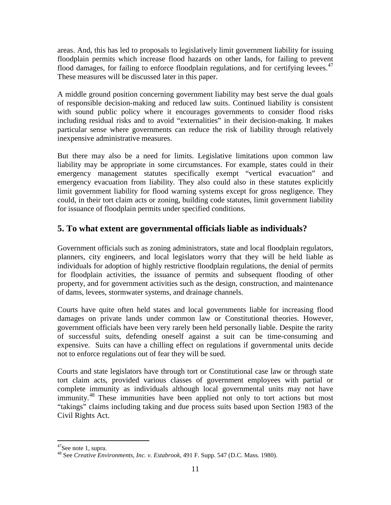areas. And, this has led to proposals to legislatively limit government liability for issuing floodplain permits which increase flood hazards on other lands, for failing to prevent flood damages, for failing to enforce floodplain regulations, and for certifying levees.<sup>[47](#page-21-1)</sup> These measures will be discussed later in this paper.

A middle ground position concerning government liability may best serve the dual goals of responsible decision-making and reduced law suits. Continued liability is consistent with sound public policy where it encourages governments to consider flood risks including residual risks and to avoid "externalities" in their decision-making. It makes particular sense where governments can reduce the risk of liability through relatively inexpensive administrative measures.

But there may also be a need for limits. Legislative limitations upon common law liability may be appropriate in some circumstances. For example, states could in their emergency management statutes specifically exempt "vertical evacuation" and emergency evacuation from liability. They also could also in these statutes explicitly limit government liability for flood warning systems except for gross negligence. They could, in their tort claim acts or zoning, building code statutes, limit government liability for issuance of floodplain permits under specified conditions.

# <span id="page-21-0"></span>**5. To what extent are governmental officials liable as individuals?**

Government officials such as zoning administrators, state and local floodplain regulators, planners, city engineers, and local legislators worry that they will be held liable as individuals for adoption of highly restrictive floodplain regulations, the denial of permits for floodplain activities, the issuance of permits and subsequent flooding of other property, and for government activities such as the design, construction, and maintenance of dams, levees, stormwater systems, and drainage channels.

Courts have quite often held states and local governments liable for increasing flood damages on private lands under common law or Constitutional theories. However, government officials have been very rarely been held personally liable. Despite the rarity of successful suits, defending oneself against a suit can be time-consuming and expensive. Suits can have a chilling effect on regulations if governmental units decide not to enforce regulations out of fear they will be sued.

Courts and state legislators have through tort or Constitutional case law or through state tort claim acts, provided various classes of government employees with partial or complete immunity as individuals although local governmental units may not have immunity.<sup>[48](#page-21-2)</sup> These immunities have been applied not only to tort actions but most "takings" claims including taking and due process suits based upon Section 1983 of the Civil Rights Act.

<span id="page-21-1"></span> <sup>47</sup>See note 1, supra.

<span id="page-21-2"></span><sup>48</sup> See *Creative Environments, Inc. v. Estabrook*, 491 F. Supp. 547 (D.C. Mass. 1980).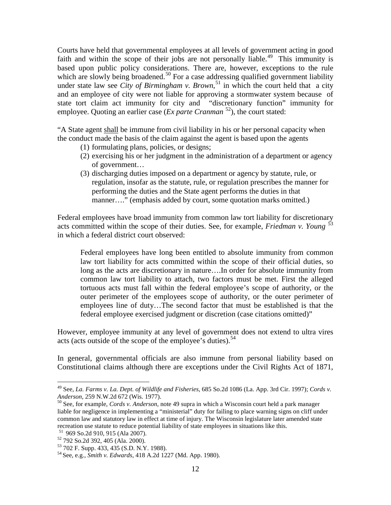Courts have held that governmental employees at all levels of government acting in good faith and within the scope of their jobs are not personally liable.<sup>[49](#page-22-0)</sup> This immunity is based upon public policy considerations. There are, however, exceptions to the rule which are slowly being broadened.<sup>[50](#page-22-1)</sup> For a case addressing qualified government liability under state law see *City of Birmingham v. Brown*,<sup>[51](#page-22-2)</sup> in which the court held that a city and an employee of city were not liable for approving a stormwater system because of state tort claim act immunity for city and "discretionary function" immunity for employee. Quoting an earlier case (*Ex parte Cranman*  [52\)](#page-22-3), the court stated:

"A State agent shall be immune from civil liability in his or her personal capacity when the conduct made the basis of the claim against the agent is based upon the agents

- (1) formulating plans, policies, or designs;
- (2) exercising his or her judgment in the administration of a department or agency of government…
- (3) discharging duties imposed on a department or agency by statute, rule, or regulation, insofar as the statute, rule, or regulation prescribes the manner for performing the duties and the State agent performs the duties in that manner…." (emphasis added by court, some quotation marks omitted.)

Federal employees have broad immunity from common law tort liability for discretionary acts committed within the scope of their duties. See, for example, *Friedman v. Young* [53](#page-22-4) in which a federal district court observed:

Federal employees have long been entitled to absolute immunity from common law tort liability for acts committed within the scope of their official duties, so long as the acts are discretionary in nature….In order for absolute immunity from common law tort liability to attach, two factors must be met. First the alleged tortuous acts must fall within the federal employee's scope of authority, or the outer perimeter of the employees scope of authority, or the outer perimeter of employees line of duty…The second factor that must be established is that the federal employee exercised judgment or discretion (case citations omitted)"

However, employee immunity at any level of government does not extend to ultra vires acts (acts outside of the scope of the employee's duties).<sup>[54](#page-22-5)</sup>

In general, governmental officials are also immune from personal liability based on Constitutional claims although there are exceptions under the Civil Rights Act of 1871,

<span id="page-22-0"></span> <sup>49</sup> See, *La. Farms v. La. Dept. of Wildlife and Fisheries*, 685 So.2d 1086 (La. App. 3rd Cir. 1997); *Cords v.* 

<span id="page-22-1"></span><sup>&</sup>lt;sup>50</sup> See, for example, *Cords v. Anderson*, note 49 supra in which a Wisconsin court held a park manager liable for negligence in implementing a "ministerial" duty for failing to place warning signs on cliff under common law and statutory law in effect at time of injury. The Wisconsin legislature later amended state recreation use statute to reduce potential liability of state employees in situations like this.<br><sup>51</sup> 969 So.2d 910, 915 (Ala 2007).

<span id="page-22-5"></span><span id="page-22-4"></span>

<span id="page-22-3"></span><span id="page-22-2"></span><sup>51</sup> 969 So.2d 910, 915 (Ala 2007). <sup>52</sup> 792 So.2d 392, 405 (Ala. 2000). 53 702 F. Supp. 433, 435 (S.D. N.Y. 1988). 54 See, e.g., *Smith v. Edwards*, 418 A.2d 1227 (Md. App. 1980).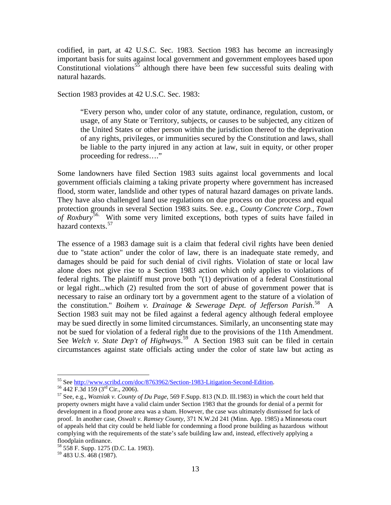codified, in part, at 42 U.S.C. Sec. 1983. Section 1983 has become an increasingly important basis for suits against local government and government employees based upon Constitutional violations<sup>[55](#page-23-0)</sup> although there have been few successful suits dealing with natural hazards.

Section 1983 provides at 42 U.S.C. Sec. 1983:

"Every person who, under color of any statute, ordinance, regulation, custom, or usage, of any State or Territory, subjects, or causes to be subjected, any citizen of the United States or other person within the jurisdiction thereof to the deprivation of any rights, privileges, or immunities secured by the Constitution and laws, shall be liable to the party injured in any action at law, suit in equity, or other proper proceeding for redress…."

Some landowners have filed Section 1983 suits against local governments and local government officials claiming a taking private property where government has increased flood, storm water, landslide and other types of natural hazard damages on private lands. They have also challenged land use regulations on due process on due process and equal protection grounds in several Section 1983 suits. See. e.g., *County Concrete Corp., Town of Roxbury*[56](#page-23-1). With some very limited exceptions, both types of suits have failed in hazard contexts. [57](#page-23-2)

The essence of a 1983 damage suit is a claim that federal civil rights have been denied due to "state action" under the color of law, there is an inadequate state remedy, and damages should be paid for such denial of civil rights. Violation of state or local law alone does not give rise to a Section 1983 action which only applies to violations of federal rights. The plaintiff must prove both "(1) deprivation of a federal Constitutional or legal right...which (2) resulted from the sort of abuse of government power that is necessary to raise an ordinary tort by a government agent to the stature of a violation of the constitution." *Boihem v. Drainage & Sewerage Dept. of Jefferson Parish*. [58](#page-23-3) A Section 1983 suit may not be filed against a federal agency although federal employee may be sued directly in some limited circumstances. Similarly, an unconsenting state may not be sued for violation of a federal right due to the provisions of the 11th Amendment. See *Welch v. State Dep't of Highways*.<sup>[59](#page-23-4)</sup> A Section 1983 suit can be filed in certain circumstances against state officials acting under the color of state law but acting as

<span id="page-23-2"></span>

<span id="page-23-1"></span><span id="page-23-0"></span><sup>&</sup>lt;sup>55</sup> See <u>http://www.scribd.com/doc/8763962/Section-1983-Litigation-Second-Edition</u>.<br><sup>56</sup> 442 F.3d 159 (3<sup>rd</sup> Cir., 2006).<br><sup>57</sup> See, e.g., *Wozniak v. County of Du Page*, 569 F.Supp. 813 (N.D. Ill.1983) in which the court property owners might have a valid claim under Section 1983 that the grounds for denial of a permit for development in a flood prone area was a sham. However, the case was ultimately dismissed for lack of proof. In another case, *Oswalt v. Ramsey County*, 371 N.W.2d 241 (Minn. App. 1985) a Minnesota court of appeals held that city could be held liable for condemning a flood prone building as hazardous without complying with the requirements of the state's safe building law and, instead, effectively applying a floodplain ordinance.

<span id="page-23-4"></span><span id="page-23-3"></span><sup>&</sup>lt;sup>58</sup> 558 F. Supp. 1275 (D.C. La. 1983).<br><sup>59</sup> 483 U.S. 468 (1987).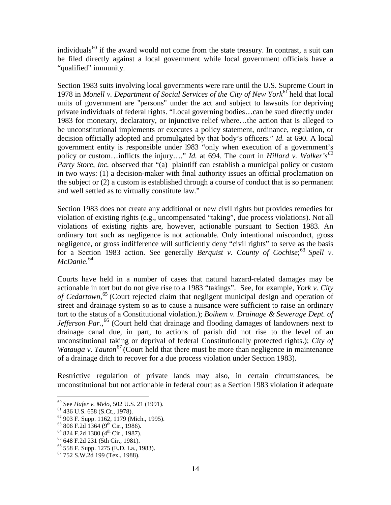individuals<sup>[60](#page-24-0)</sup> if the award would not come from the state treasury. In contrast, a suit can be filed directly against a local government while local government officials have a "qualified" immunity.

Section 1983 suits involving local governments were rare until the U.S. Supreme Court in 1978 in *Monell v. Department of Social Services of the City of New York*<sup>[61](#page-24-1)</sup> held that local units of government are "persons" under the act and subject to lawsuits for depriving private individuals of federal rights. "Local governing bodies…can be sued directly under 1983 for monetary, declaratory, or injunctive relief where…the action that is alleged to be unconstitutional implements or executes a policy statement, ordinance, regulation, or decision officially adopted and promulgated by that body's officers." *Id.* at 690. A local government entity is responsible under l983 "only when execution of a government's policy or custom…inflicts the injury…." *Id.* at 694. The court in *Hillard v. Walker's[62](#page-24-2) Party Store, Inc.* observed that "(a) plaintiff can establish a municipal policy or custom in two ways: (1) a decision-maker with final authority issues an official proclamation on the subject or (2) a custom is established through a course of conduct that is so permanent and well settled as to virtually constitute law."

Section 1983 does not create any additional or new civil rights but provides remedies for violation of existing rights (e.g., uncompensated "taking", due process violations). Not all violations of existing rights are, however, actionable pursuant to Section 1983. An ordinary tort such as negligence is not actionable. Only intentional misconduct, gross negligence, or gross indifference will sufficiently deny "civil rights" to serve as the basis for a Section 1983 action. See generally *Berquist v. County of Cochise*; [63](#page-24-3) *Spell v. McDanie*. [64](#page-24-4)

Courts have held in a number of cases that natural hazard-related damages may be actionable in tort but do not give rise to a 1983 "takings". See, for example, *York v. City of Cedartown*, [65](#page-24-5) (Court rejected claim that negligent municipal design and operation of street and drainage system so as to cause a nuisance were sufficient to raise an ordinary tort to the status of a Constitutional violation.); *Boihem v. Drainage & Sewerage Dept. of*  Jefferson Par.,<sup>[66](#page-24-6)</sup> (Court held that drainage and flooding damages of landowners next to drainage canal due, in part, to actions of parish did not rise to the level of an unconstitutional taking or deprival of federal Constitutionally protected rights.); *City of Watauga v. Tauton*<sup>[67](#page-24-7)</sup> (Court held that there must be more than negligence in maintenance of a drainage ditch to recover for a due process violation under Section 1983).

Restrictive regulation of private lands may also, in certain circumstances, be unconstitutional but not actionable in federal court as a Section 1983 violation if adequate

<span id="page-24-2"></span>

<span id="page-24-1"></span><span id="page-24-0"></span><sup>&</sup>lt;sup>60</sup> See *Hafer v. Melo*, 502 U.S. 21 (1991).<br>
<sup>61</sup> 436 U.S. 658 (S.Ct., 1978).<br>
<sup>62</sup> 903 F. Supp. 1162, 1179 (Mich., 1995).<br>
<sup>63</sup> 806 F.2d 1364 (9<sup>th</sup> Cir., 1986).<br>
<sup>64</sup> 824 F.2d 1380 (4<sup>th</sup> Cir., 1987).<br>
<sup>66</sup> 648 F.2d 2

<span id="page-24-3"></span>

<span id="page-24-4"></span>

<span id="page-24-5"></span>

<span id="page-24-6"></span>

<span id="page-24-7"></span>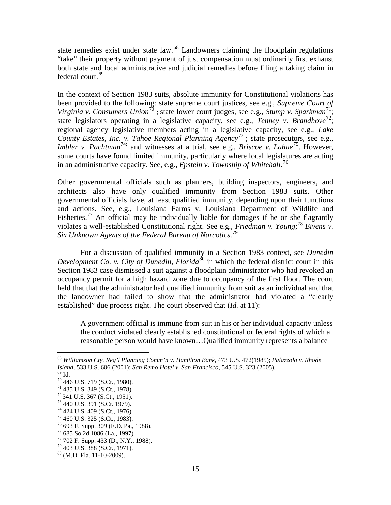state remedies exist under state law.<sup>[68](#page-25-0)</sup> Landowners claiming the floodplain regulations "take" their property without payment of just compensation must ordinarily first exhaust both state and local administrative and judicial remedies before filing a taking claim in federal court.<sup>[69](#page-25-1)</sup>

In the context of Section 1983 suits, absolute immunity for Constitutional violations has been provided to the following: state supreme court justices, see e.g., *Supreme Court of*  Virginia v. Consumers Union<sup>[70](#page-25-2)</sup>; state lower court judges, see e.g., *Stump v. Sparkman*<sup>71</sup>; state legislators operating in a legislative capacity, see e.g., *Tenney v. Brandhove*<sup>72</sup>; regional agency legislative members acting in a legislative capacity, see e.g., *Lake County Estates, Inc. v. Tahoe Regional Planning Agency*[73](#page-25-5) ; state prosecutors, see e.g., *Imbler v. Pachtman*<sup>[74](#page-25-6);</sup> and witnesses at a trial, see e.g., *Briscoe v. Lahue*<sup>75</sup>. However, some courts have found limited immunity, particularly where local legislatures are acting in an administrative capacity. See, e.g., *Epstein v. Township of Whitehall*. [76](#page-25-8)

Other governmental officials such as planners, building inspectors, engineers, and architects also have only qualified immunity from Section 1983 suits. Other governmental officials have, at least qualified immunity, depending upon their functions and actions. See, e.g., Louisiana Farms v. Louisiana Department of Wildlife and Fisheries.<sup>[77](#page-25-9)</sup> An official may be individually liable for damages if he or she flagrantly violates a well-established Constitutional right. See e.g., *Friedman v. Young*; [78](#page-25-10) *Bivens v. Six Unknown Agents of the Federal Bureau of Narcotics*. [79](#page-25-11)

For a discussion of qualified immunity in a Section 1983 context, see *Dunedin Development Co. v. City of Dunedin, Florida*<sup>[80](#page-25-12)</sup> in which the federal district court in this Section 1983 case dismissed a suit against a floodplain administrator who had revoked an occupancy permit for a high hazard zone due to occupancy of the first floor. The court held that that the administrator had qualified immunity from suit as an individual and that the landowner had failed to show that the administrator had violated a "clearly established" due process right. The court observed that (*Id.* at 11):

A government official is immune from suit in his or her individual capacity unless the conduct violated clearly established constitutional or federal rights of which a reasonable person would have known…Qualified immunity represents a balance

<span id="page-25-0"></span> <sup>68</sup> *Williamson Cty. Reg'l Planning Comm'n v. Hamilton Bank*, 473 U.S. 472(1985); *Palazzolo v. Rhode Island*, 533 U.S. 606 (2001); *San Remo Hotel v. San Francisco*, 545 U.S. 323 (2005).<br><sup>69</sup> Id.<br><sup>70</sup> 446 U.S. 719 (S.Ct., 1980).<br><sup>71</sup> 435 U.S. 349 (S.Ct., 1978).<br><sup>72</sup> 436 U.S. 367 (S.Ct., 1951).<br><sup>73</sup> 440 U.S. 391 (S.Ct., 1

<span id="page-25-1"></span>

<span id="page-25-2"></span>

<span id="page-25-3"></span>

<span id="page-25-4"></span>

<span id="page-25-5"></span>

<span id="page-25-6"></span>

<span id="page-25-7"></span>

<span id="page-25-8"></span>

<span id="page-25-9"></span>

<span id="page-25-10"></span>

<span id="page-25-11"></span>

<span id="page-25-12"></span>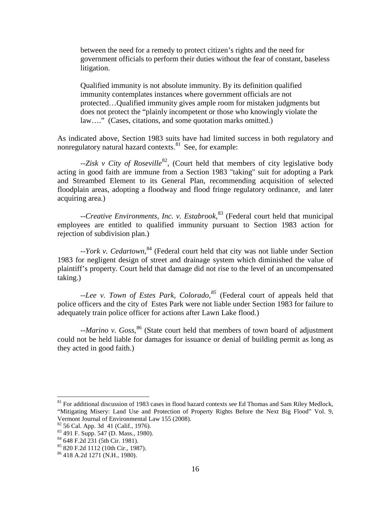between the need for a remedy to protect citizen's rights and the need for government officials to perform their duties without the fear of constant, baseless litigation.

Qualified immunity is not absolute immunity. By its definition qualified immunity contemplates instances where government officials are not protected…Qualified immunity gives ample room for mistaken judgments but does not protect the "plainly incompetent or those who knowingly violate the law…." (Cases, citations, and some quotation marks omitted.)

As indicated above, Section 1983 suits have had limited success in both regulatory and nonregulatory natural hazard contexts.<sup>[81](#page-26-0)</sup> See, for example:

--Zisk v City of Roseville<sup>[82](#page-26-1)</sup>, (Court held that members of city legislative body acting in good faith are immune from a Section 1983 "taking" suit for adopting a Park and Streambed Element to its General Plan, recommending acquisition of selected floodplain areas, adopting a floodway and flood fringe regulatory ordinance, and later acquiring area.)

--*Creative Environments, Inc. v. Estabrook*, [83](#page-26-2) (Federal court held that municipal employees are entitled to qualified immunity pursuant to Section 1983 action for rejection of subdivision plan.)

--*York v. Cedartown*, [84](#page-26-3) (Federal court held that city was not liable under Section 1983 for negligent design of street and drainage system which diminished the value of plaintiff's property. Court held that damage did not rise to the level of an uncompensated taking.)

--*Lee v. Town of Estes Park, Colorado,[85](#page-26-4)* (Federal court of appeals held that police officers and the city of Estes Park were not liable under Section 1983 for failure to adequately train police officer for actions after Lawn Lake flood.)

--*Marino v. Goss*, [86](#page-26-5) (State court held that members of town board of adjustment could not be held liable for damages for issuance or denial of building permit as long as they acted in good faith.)

<span id="page-26-0"></span> $81$  For additional discussion of 1983 cases in flood hazard contexts see Ed Thomas and Sam Riley Medlock, "Mitigating Misery: Land Use and Protection of Property Rights Before the Next Big Flood" Vol. 9, Vermont Journal of Environmental Law 155 (2008).

<span id="page-26-3"></span>

<span id="page-26-2"></span><span id="page-26-1"></span><sup>&</sup>lt;sup>82</sup> 56 Cal. App. 3d 41 (Calif., 1976).<br><sup>83</sup> 491 F. Supp. 547 (D. Mass., 1980).<br><sup>84</sup> 648 F.2d 231 (5th Cir. 1981).<br><sup>85</sup> 820 F.2d 1112 (10th Cir., 1987).<br><sup>86</sup> 418 A.2d 1271 (N.H., 1980).

<span id="page-26-5"></span><span id="page-26-4"></span>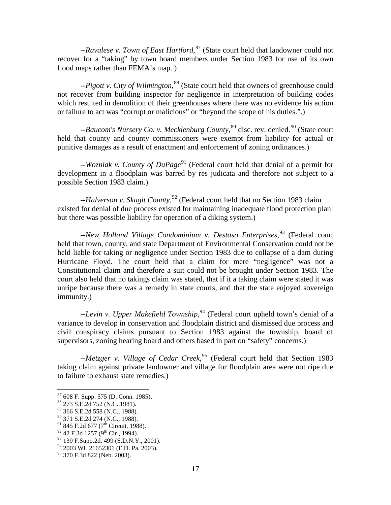--*Ravalese v. Town of East Hartford*, [87](#page-27-0) (State court held that landowner could not recover for a "taking" by town board members under Section 1983 for use of its own flood maps rather than FEMA's map. )

--*Pigott v. City of Wilmington*, [88](#page-27-1) (State court held that owners of greenhouse could not recover from building inspector for negligence in interpretation of building codes which resulted in demolition of their greenhouses where there was no evidence his action or failure to act was "corrupt or malicious" or "beyond the scope of his duties.".)

--Baucom's Nursery Co. v. Mecklenburg County, <sup>[89](#page-27-2)</sup> disc. rev. denied.<sup>[90](#page-27-3)</sup> (State court held that county and county commissioners were exempt from liability for actual or punitive damages as a result of enactment and enforcement of zoning ordinances.)

--*Wozniak v. County of DuPage*<sup>[91](#page-27-4)</sup> (Federal court held that denial of a permit for development in a floodplain was barred by res judicata and therefore not subject to a possible Section 1983 claim.)

--*Halverson v. Skagit County*, [92](#page-27-5) (Federal court held that no Section 1983 claim existed for denial of due process existed for maintaining inadequate flood protection plan but there was possible liability for operation of a diking system.)

--*New Holland Village Condominium v. Destaso Enterprises*, [93](#page-27-6) (Federal court held that town, county, and state Department of Environmental Conservation could not be held liable for taking or negligence under Section 1983 due to collapse of a dam during Hurricane Floyd. The court held that a claim for mere "negligence" was not a Constitutional claim and therefore a suit could not be brought under Section 1983. The court also held that no takings claim was stated, that if it a taking claim were stated it was unripe because there was a remedy in state courts, and that the state enjoyed sovereign immunity.)

--*Levin v. Upper Makefield Township*, [94](#page-27-7) (Federal court upheld town's denial of a variance to develop in conservation and floodplain district and dismissed due process and civil conspiracy claims pursuant to Section 1983 against the township, board of supervisors, zoning hearing board and others based in part on "safety" concerns.)

--*Metzger v. Village of Cedar Creek*, [95](#page-27-8) (Federal court held that Section 1983 taking claim against private landowner and village for floodplain area were not ripe due to failure to exhaust state remedies.)

<span id="page-27-2"></span>

<span id="page-27-4"></span><span id="page-27-3"></span>

<span id="page-27-5"></span>

<span id="page-27-6"></span>

<span id="page-27-1"></span><span id="page-27-0"></span><sup>&</sup>lt;sup>87</sup> 608 F. Supp. 575 (D. Conn. 1985).<br>
<sup>88</sup> 273 S.E.2d 752 (N.C., 1981).<br>
<sup>89</sup> 366 S.E.2d 558 (N.C., 1988).<br>
<sup>90</sup> 366 S.E.2d 274 (N.C., 1988).<br>
<sup>91</sup> 845 F.2d 677 (7<sup>th</sup> Circuit, 1988).<br>
<sup>92</sup> 42 F.3d 1257 (9<sup>th</sup> Circ, 199

<span id="page-27-8"></span><span id="page-27-7"></span>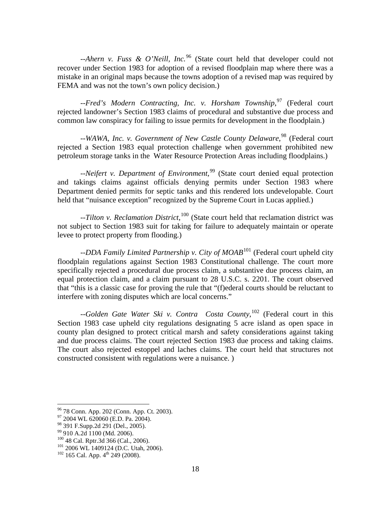--*Ahern v. Fuss & O'Neill, Inc.*[96](#page-28-0) (State court held that developer could not recover under Section 1983 for adoption of a revised floodplain map where there was a mistake in an original maps because the towns adoption of a revised map was required by FEMA and was not the town's own policy decision.)

--*Fred's Modern Contracting, Inc. v. Horsham Township*,<sup>[97](#page-28-1)</sup> (Federal court rejected landowner's Section 1983 claims of procedural and substantive due process and common law conspiracy for failing to issue permits for development in the floodplain.)

--*WAWA, Inc. v. Government of New Castle County Delaware*, [98](#page-28-2) (Federal court rejected a Section 1983 equal protection challenge when government prohibited new petroleum storage tanks in the Water Resource Protection Areas including floodplains.)

--*Neifert v. Department of Environment*, [99](#page-28-3) (State court denied equal protection and takings claims against officials denying permits under Section 1983 where Department denied permits for septic tanks and this rendered lots undevelopable. Court held that "nuisance exception" recognized by the Supreme Court in Lucas applied.)

--*Tilton v. Reclamation District*, [100](#page-28-4) (State court held that reclamation district was not subject to Section 1983 suit for taking for failure to adequately maintain or operate levee to protect property from flooding.)

--*DDA Family Limited Partnership v. City of MOAB*<sup>[101](#page-28-5)</sup> (Federal court upheld city floodplain regulations against Section 1983 Constitutional challenge. The court more specifically rejected a procedural due process claim, a substantive due process claim, an equal protection claim, and a claim pursuant to 28 U.S.C. s. 2201. The court observed that "this is a classic case for proving the rule that "(f)ederal courts should be reluctant to interfere with zoning disputes which are local concerns."

--*Golden Gate Water Ski v. Contra Costa County*, [102](#page-28-6) (Federal court in this Section 1983 case upheld city regulations designating 5 acre island as open space in county plan designed to protect critical marsh and safety considerations against taking and due process claims. The court rejected Section 1983 due process and taking claims. The court also rejected estoppel and laches claims. The court held that structures not constructed consistent with regulations were a nuisance. )

<span id="page-28-1"></span><span id="page-28-0"></span><sup>&</sup>lt;sup>96</sup> 78 Conn. App. 202 (Conn. App. Ct. 2003).<br><sup>97</sup> 2004 WL 620060 (E.D. Pa. 2004).<br><sup>98</sup> 391 F.Supp.2d 291 (Del., 2005).

<span id="page-28-5"></span>

<span id="page-28-4"></span><span id="page-28-3"></span><span id="page-28-2"></span><sup>&</sup>lt;sup>99</sup> 910 A.2d 1100 (Md. 2006).<br><sup>100</sup> 48 Cal. Rptr.3d 366 (Cal., 2006).<br><sup>101</sup> 2006 WL 1409124 (D.C. Utah, 2006).<br><sup>102</sup> 165 Cal. App. 4<sup>th</sup> 249 (2008).

<span id="page-28-6"></span>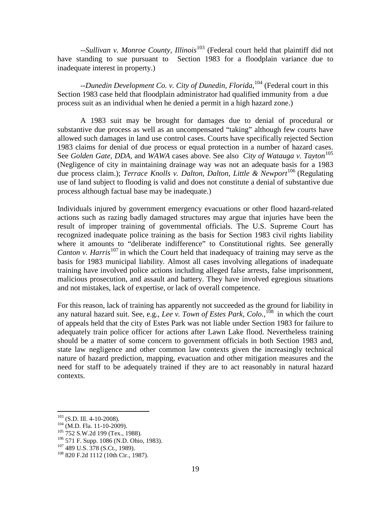--*Sullivan v. Monroe County, Illinois*<sup>[103](#page-29-0)</sup> (Federal court held that plaintiff did not have standing to sue pursuant to Section 1983 for a floodplain variance due to inadequate interest in property.)

--*Dunedin Development Co. v. City of Dunedin, Florida*, [104](#page-29-1) (Federal court in this Section 1983 case held that floodplain administrator had qualified immunity from a due process suit as an individual when he denied a permit in a high hazard zone.)

A 1983 suit may be brought for damages due to denial of procedural or substantive due process as well as an uncompensated "taking" although few courts have allowed such damages in land use control cases. Courts have specifically rejected Section 1983 claims for denial of due process or equal protection in a number of hazard cases. See *Golden Gate, DDA,* and *WAWA* cases above. See also *City of Watauga v. Tayton*<sup>[105](#page-29-2)</sup> (Negligence of city in maintaining drainage way was not an adequate basis for a 1983 due process claim.); *Terrace Knolls v. Dalton, Dalton, Little & Newport*[106](#page-29-3) (Regulating use of land subject to flooding is valid and does not constitute a denial of substantive due process although factual base may be inadequate.)

Individuals injured by government emergency evacuations or other flood hazard-related actions such as razing badly damaged structures may argue that injuries have been the result of improper training of governmental officials. The U.S. Supreme Court has recognized inadequate police training as the basis for Section 1983 civil rights liability where it amounts to "deliberate indifference" to Constitutional rights. See generally *Canton v. Harris*<sup>[107](#page-29-4)</sup> in which the Court held that inadequacy of training may serve as the basis for 1983 municipal liability. Almost all cases involving allegations of inadequate training have involved police actions including alleged false arrests, false imprisonment, malicious prosecution, and assault and battery. They have involved egregious situations and not mistakes, lack of expertise, or lack of overall competence.

For this reason, lack of training has apparently not succeeded as the ground for liability in any natural hazard suit. See, e.g., *Lee v. Town of Estes Park, Colo.*, [108](#page-29-5) in which the court of appeals held that the city of Estes Park was not liable under Section 1983 for failure to adequately train police officer for actions after Lawn Lake flood. Nevertheless training should be a matter of some concern to government officials in both Section 1983 and, state law negligence and other common law contexts given the increasingly technical nature of hazard prediction, mapping, evacuation and other mitigation measures and the need for staff to be adequately trained if they are to act reasonably in natural hazard contexts.

<span id="page-29-3"></span><span id="page-29-2"></span>

<span id="page-29-1"></span><span id="page-29-0"></span><sup>&</sup>lt;sup>103</sup> (S.D. Ill. 4-10-2008).<br><sup>104</sup> (M.D. Fla. 11-10-2009).<br><sup>105</sup> 752 S.W.2d 199 (Tex., 1988).<br><sup>106</sup> 571 F. Supp. 1086 (N.D. Ohio, 1983).<br><sup>107</sup> 489 U.S. 378 (S.Ct., 1989).<br><sup>108</sup> 820 F.2d 1112 (10th Cir., 1987).

<span id="page-29-4"></span>

<span id="page-29-5"></span>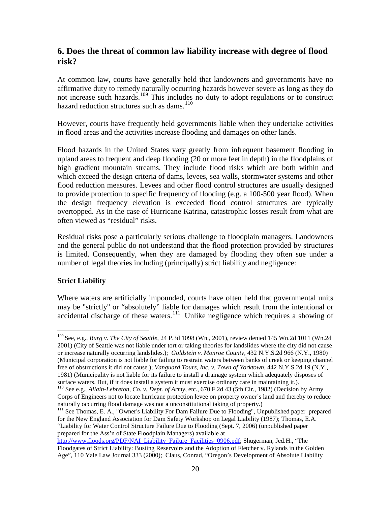# <span id="page-30-0"></span>**6. Does the threat of common law liability increase with degree of flood risk?**

At common law, courts have generally held that landowners and governments have no affirmative duty to remedy naturally occurring hazards however severe as long as they do not increase such hazards.[109](#page-30-2) This includes no duty to adopt regulations or to construct hazard reduction structures such as dams.<sup>[110](#page-30-3)</sup>

However, courts have frequently held governments liable when they undertake activities in flood areas and the activities increase flooding and damages on other lands.

Flood hazards in the United States vary greatly from infrequent basement flooding in upland areas to frequent and deep flooding (20 or more feet in depth) in the floodplains of high gradient mountain streams. They include flood risks which are both within and which exceed the design criteria of dams, levees, sea walls, stormwater systems and other flood reduction measures. Levees and other flood control structures are usually designed to provide protection to specific frequency of flooding (e.g. a 100-500 year flood). When the design frequency elevation is exceeded flood control structures are typically overtopped. As in the case of Hurricane Katrina, catastrophic losses result from what are often viewed as "residual" risks.

Residual risks pose a particularly serious challenge to floodplain managers. Landowners and the general public do not understand that the flood protection provided by structures is limited. Consequently, when they are damaged by flooding they often sue under a number of legal theories including (principally) strict liability and negligence:

#### <span id="page-30-1"></span>**Strict Liability**

Where waters are artificially impounded, courts have often held that governmental units may be "strictly" or "absolutely" liable for damages which result from the intentional or accidental discharge of these waters.<sup>[111](#page-30-4)</sup> Unlike negligence which requires a showing of

<span id="page-30-2"></span> <sup>109</sup> See, e.g., *Burg v. The City of Seattle*, 24 P.3d 1098 (Wn., 2001), review denied 145 Wn.2d 1011 (Wn.2d 2001) (City of Seattle was not liable under tort or taking theories for landslides where the city did not cause or increase naturally occurring landslides.); *Goldstein v. Monroe County*, 432 N.Y.S.2d 966 (N.Y., 1980) (Municipal corporation is not liable for failing to restrain waters between banks of creek or keeping channel free of obstructions it did not cause.); *Vanguard Tours, Inc. v. Town of Yorktown*, 442 N.Y.S.2d 19 (N.Y., 1981) (Municipality is not liable for its failure to install a drainage system which adequately disposes of surface waters. But, if it does install a system it must exercise ordinary care in maintaining it.).

<span id="page-30-3"></span><sup>110</sup> See e.g., *Allain-Lebreton, Co. v. Dept. of Army*, etc., 670 F.2d 43 (5th Cir., 1982) (Decision by Army Corps of Engineers not to locate hurricane protection levee on property owner's land and thereby to reduce naturally occurring flood damage was not a unconstitutional taking of property.)

<span id="page-30-4"></span><sup>111</sup> See Thomas, E. A., "Owner's Liability For Dam Failure Due to Flooding", Unpublished paper prepared for the New England Association for Dam Safety Workshop on Legal Liability (1987); Thomas, E.A. "Liability for Water Control Structure Failure Due to Flooding (Sept. 7, 2006) (unpublished paper prepared for the Ass'n of State Floodplain Managers) available at

[http://www.floods.org/PDF/NAI\\_Liability\\_Failure\\_Facilities\\_0906.pdf;](http://www.floods.org/PDF/NAI_Liability_Failure_Facilities_0906.pdf) Shugerman, Jed.H., "The Floodgates of Strict Liability: Busting Reservoirs and the Adoption of Fletcher v. Rylands in the Golden Age", 110 Yale Law Journal 333 (2000); Claus, Conrad, "Oregon's Development of Absolute Liability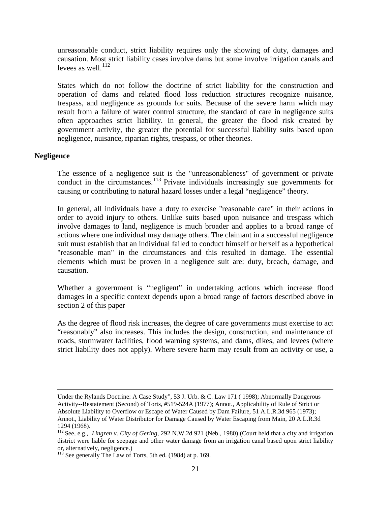unreasonable conduct, strict liability requires only the showing of duty, damages and causation. Most strict liability cases involve dams but some involve irrigation canals and levees as well. $^{112}$  $^{112}$  $^{112}$ 

States which do not follow the doctrine of strict liability for the construction and operation of dams and related flood loss reduction structures recognize nuisance, trespass, and negligence as grounds for suits. Because of the severe harm which may result from a failure of water control structure, the standard of care in negligence suits often approaches strict liability. In general, the greater the flood risk created by government activity, the greater the potential for successful liability suits based upon negligence, nuisance, riparian rights, trespass, or other theories.

#### <span id="page-31-0"></span>**Negligence**

 $\overline{a}$ 

The essence of a negligence suit is the "unreasonableness" of government or private conduct in the circumstances.<sup>[113](#page-31-2)</sup> Private individuals increasingly sue governments for causing or contributing to natural hazard losses under a legal "negligence" theory.

In general, all individuals have a duty to exercise "reasonable care" in their actions in order to avoid injury to others. Unlike suits based upon nuisance and trespass which involve damages to land, negligence is much broader and applies to a broad range of actions where one individual may damage others. The claimant in a successful negligence suit must establish that an individual failed to conduct himself or herself as a hypothetical "reasonable man" in the circumstances and this resulted in damage. The essential elements which must be proven in a negligence suit are: duty, breach, damage, and causation.

Whether a government is "negligent" in undertaking actions which increase flood damages in a specific context depends upon a broad range of factors described above in section 2 of this paper

As the degree of flood risk increases, the degree of care governments must exercise to act "reasonably" also increases. This includes the design, construction, and maintenance of roads, stormwater facilities, flood warning systems, and dams, dikes, and levees (where strict liability does not apply). Where severe harm may result from an activity or use, a

Under the Rylands Doctrine: A Case Study", 53 J. Urb. & C. Law 171 ( 1998); Abnormally Dangerous Activity--Restatement (Second) of Torts, #519-524A (1977); Annot., Applicability of Rule of Strict or Absolute Liability to Overflow or Escape of Water Caused by Dam Failure, 51 A.L.R.3d 965 (1973); Annot., Liability of Water Distributor for Damage Caused by Water Escaping from Main, 20 A.L.R.3d 1294 (1968).

<span id="page-31-1"></span><sup>112</sup> See, e.g., *Lingren v. City of Gering*, 292 N.W.2d 921 (Neb., 1980) (Court held that a city and irrigation district were liable for seepage and other water damage from an irrigation canal based upon strict liability or, alternatively, negligence.)

<span id="page-31-2"></span><sup>&</sup>lt;sup>113</sup> See generally The Law of Torts, 5th ed. (1984) at p. 169.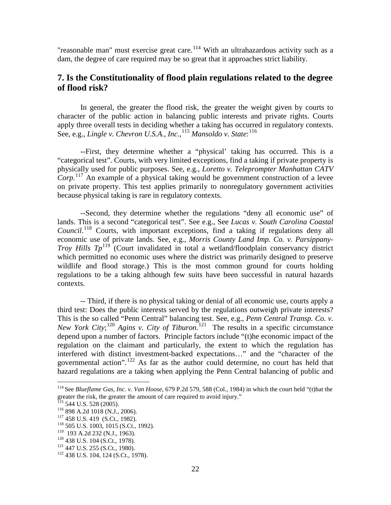"reasonable man" must exercise great care.<sup>[114](#page-32-1)</sup> With an ultrahazardous activity such as a dam, the degree of care required may be so great that it approaches strict liability.

# <span id="page-32-0"></span>**7. Is the Constitutionality of flood plain regulations related to the degree of flood risk?**

In general, the greater the flood risk, the greater the weight given by courts to character of the public action in balancing public interests and private rights. Courts apply three overall tests in deciding whether a taking has occurred in regulatory contexts. See, e.g., *Lingle v. Chevron U.S.A., Inc.*, [115](#page-32-2) *Mansoldo v. State*: [116](#page-32-3)

--First, they determine whether a "physical' taking has occurred. This is a "categorical test". Courts, with very limited exceptions, find a taking if private property is physically used for public purposes. See, e.g., *Loretto v. Teleprompter Manhattan CATV Corp.*[117](#page-32-4) An example of a physical taking would be government construction of a levee on private property. This test applies primarily to nonregulatory government activities because physical taking is rare in regulatory contexts.

--Second, they determine whether the regulations "deny all economic use" of lands. This is a second "categorical test". See e.g., See *Lucas v. South Carolina Coastal Council*. [118](#page-32-5) Courts, with important exceptions, find a taking if regulations deny all economic use of private lands. See, e.g., *Morris County Land Imp. Co. v. Parsippany-Troy Hills*  $Tp^{119}$  $Tp^{119}$  $Tp^{119}$  (Court invalidated in total a wetland/floodplain conservancy district which permitted no economic uses where the district was primarily designed to preserve wildlife and flood storage.) This is the most common ground for courts holding regulations to be a taking although few suits have been successful in natural hazards contexts.

-- Third, if there is no physical taking or denial of all economic use, courts apply a third test: Does the public interests served by the regulations outweigh private interests? This is the so called "Penn Central" balancing test. See, e.g., *Penn Central Transp. Co. v.*  New York City;<sup>[120](#page-32-7)</sup> Agins v. City of Tiburon.<sup>[121](#page-32-8)</sup> The results in a specific circumstance depend upon a number of factors. Principle factors include "(t)he economic impact of the regulation on the claimant and particularly, the extent to which the regulation has interfered with distinct investment-backed expectations…" and the "character of the governmental action". [122](#page-32-9) As far as the author could determine, no court has held that hazard regulations are a taking when applying the Penn Central balancing of public and

<span id="page-32-1"></span> <sup>114</sup> See *Blueflame Gas, Inc. v. Van Hoose*, 679 P.2d 579, 588 (Col., 1984) in which the court held "(t)hat the greater the risk, the greater the amount of care required to avoid injury."<br>
<sup>115</sup> 544 U.S. 528 (2005).<br>
<sup>116</sup> 898 A.2d 1018 (N.J., 2006).<br>
<sup>117</sup> 458 U.S. 419 (S.Ct., 1982).<br>
<sup>118</sup> 505 U.S. 1003, 1015 (S.Ct., 1992).<br>
<sup>119</sup>

<span id="page-32-2"></span>

<span id="page-32-4"></span><span id="page-32-3"></span>

<span id="page-32-6"></span><span id="page-32-5"></span>

<span id="page-32-7"></span>

<span id="page-32-8"></span>

<span id="page-32-9"></span>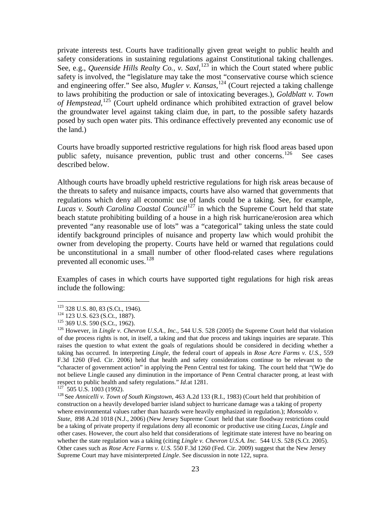private interests test. Courts have traditionally given great weight to public health and safety considerations in sustaining regulations against Constitutional taking challenges. See, e.g., *Queenside Hills Realty Co., v. Saxl*, <sup>[123](#page-33-0)</sup> in which the Court stated where public safety is involved, the "legislature may take the most "conservative course which science and engineering offer." See also, *Mugler v. Kansas*, [124](#page-33-1) (Court rejected a taking challenge to laws prohibiting the production or sale of intoxicating beverages.), *Goldblatt v. Town of Hempstead*, [125](#page-33-2) (Court upheld ordinance which prohibited extraction of gravel below the groundwater level against taking claim due, in part, to the possible safety hazards posed by such open water pits. This ordinance effectively prevented any economic use of the land.)

Courts have broadly supported restrictive regulations for high risk flood areas based upon public safety, nuisance prevention, public trust and other concerns.<sup>[126](#page-33-3)</sup> See cases described below.

Although courts have broadly upheld restrictive regulations for high risk areas because of the threats to safety and nuisance impacts, courts have also warned that governments that regulations which deny all economic use of lands could be a taking. See, for example, *Lucas v. South Carolina Coastal Council*<sup>[127](#page-33-4)</sup> in which the Supreme Court held that state beach statute prohibiting building of a house in a high risk hurricane/erosion area which prevented "any reasonable use of lots" was a "categorical" taking unless the state could identify background principles of nuisance and property law which would prohibit the owner from developing the property. Courts have held or warned that regulations could be unconstitutional in a small number of other flood-related cases where regulations prevented all economic uses.<sup>[128](#page-33-5)</sup>

Examples of cases in which courts have supported tight regulations for high risk areas include the following:

<span id="page-33-2"></span>

<span id="page-33-3"></span>

<span id="page-33-1"></span><span id="page-33-0"></span><sup>123 328</sup> U.S. 80, 83 (S.Ct., 1946).<br>
124 123 U.S. 623 (S.Ct., 1887).<br>
125 369 U.S. 590 (S.Ct., 1962).<br>
126 However, in *Lingle v. Chevron U.S.A., Inc.,* 544 U.S. 528 (2005) the Supreme Court held that violation of due process rights is not, in itself, a taking and that due process and takings inquiries are separate. This raises the question to what extent the goals of regulations should be considered in deciding whether a taking has occurred. In interpreting *Lingle*, the federal court of appeals in *Rose Acre Farms v. U.S.*, 559 F.3d 1260 (Fed. Cir. 2006) held that health and safety considerations continue to be relevant to the "character of government action" in applying the Penn Central test for taking. The court held that "(W)e do not believe Lingle caused any diminution in the importance of Penn Central character prong, at least with respect to public health and safety regulations." *Id.* at 1281.

<span id="page-33-5"></span>

<span id="page-33-4"></span><sup>&</sup>lt;sup>127</sup> 505 U.S. 1003 (1992). <sup>128</sup> See *Annicelli v. Town of South Kingstown*, 463 A.2d 133 (R.I., 1983) (Court held that prohibition of construction on a heavily developed barrier island subject to hurricane damage was a taking of property where environmental values rather than hazards were heavily emphasized in regulation.); *Monsoldo v. State*, 898 A.2d 1018 (N.J., 2006) (New Jersey Supreme Court held that state floodway restrictions could be a taking of private property if regulations deny all economic or productive use citing *Lucas*, *Lingle* and other cases. However, the court also held that considerations of legitimate state interest have no bearing on whether the state regulation was a taking (citing *Lingle v. Chevron U.S.A. Inc.* 544 U.S. 528 (S.Ct. 2005). Other cases such as *Rose Acre Farms v. U.S.* 550 F.3d 1260 (Fed. Cir. 2009) suggest that the New Jersey Supreme Court may have misinterpreted *Lingle*. See discussion in note 122, supra.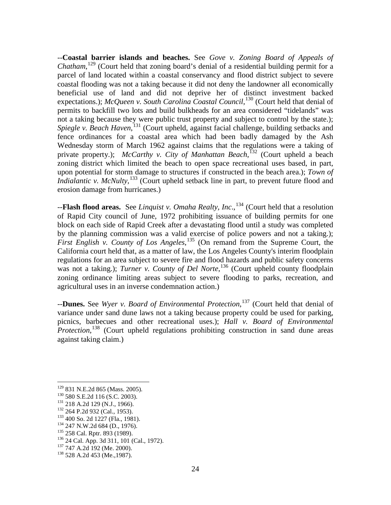--**Coastal barrier islands and beaches.** See *Gove v. Zoning Board of Appeals of*  Chatham,<sup>[129](#page-34-0)</sup> (Court held that zoning board's denial of a residential building permit for a parcel of land located within a coastal conservancy and flood district subject to severe coastal flooding was not a taking because it did not deny the landowner all economically beneficial use of land and did not deprive her of distinct investment backed expectations.); *McQueen v. South Carolina Coastal Council*,<sup>[130](#page-34-1)</sup> (Court held that denial of permits to backfill two lots and build bulkheads for an area considered "tidelands" was not a taking because they were public trust property and subject to control by the state.); Spiegle v. Beach Haven,<sup>[131](#page-34-2)</sup> (Court upheld, against facial challenge, building setbacks and fence ordinances for a coastal area which had been badly damaged by the Ash Wednesday storm of March 1962 against claims that the regulations were a taking of private property.); *McCarthy v. City of Manhattan Beach*, [132](#page-34-3) (Court upheld a beach zoning district which limited the beach to open space recreational uses based, in part, upon potential for storm damage to structures if constructed in the beach area.); *Town of Indialantic v. McNulty*,<sup>[133](#page-34-4)</sup> (Court upheld setback line in part, to prevent future flood and erosion damage from hurricanes.)

--**Flash flood areas.** See *Linquist v. Omaha Realty, Inc*., [134](#page-34-5) (Court held that a resolution of Rapid City council of June, 1972 prohibiting issuance of building permits for one block on each side of Rapid Creek after a devastating flood until a study was completed by the planning commission was a valid exercise of police powers and not a taking.); First English v. County of Los Angeles,<sup>[135](#page-34-6)</sup> (On remand from the Supreme Court, the California court held that, as a matter of law, the Los Angeles County's interim floodplain regulations for an area subject to severe fire and flood hazards and public safety concerns was not a taking.); *Turner v. County of Del Norte*,<sup>[136](#page-34-7)</sup> (Court upheld county floodplain zoning ordinance limiting areas subject to severe flooding to parks, recreation, and agricultural uses in an inverse condemnation action.)

--**Dunes.** See *Wyer v. Board of Environmental Protection*, [137](#page-34-8) (Court held that denial of variance under sand dune laws not a taking because property could be used for parking, picnics, barbecues and other recreational uses.); *Hall v. Board of Environmental Protection*,<sup>[138](#page-34-9)</sup> (Court upheld regulations prohibiting construction in sand dune areas against taking claim.)

<span id="page-34-0"></span>

<span id="page-34-2"></span><span id="page-34-1"></span>

<span id="page-34-3"></span>

<span id="page-34-4"></span>

<span id="page-34-5"></span>

<span id="page-34-7"></span><span id="page-34-6"></span>

<sup>&</sup>lt;sup>129</sup> 831 N.E.2d 865 (Mass. 2005).<br><sup>130</sup> 580 S.E.2d 116 (S.C. 2003).<br><sup>131</sup> 218 A.2d 129 (N.J., 1966).<br><sup>132</sup> 264 P.2d 932 (Cal., 1953).<br><sup>133</sup> 400 So. 2d 1227 (Fla., 1981).<br><sup>134</sup> 247 N.W.2d 684 (D., 1976).<br><sup>135</sup> 258 Cal. Rpt

<span id="page-34-8"></span>

<span id="page-34-9"></span>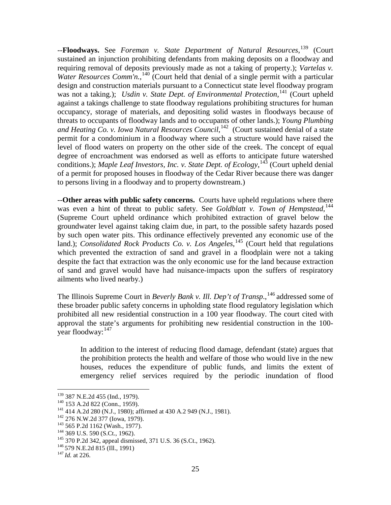--**Floodways.** See *Foreman v. State Department of Natural Resources*, [139](#page-35-0) (Court sustained an injunction prohibiting defendants from making deposits on a floodway and requiring removal of deposits previously made as not a taking of property.); *Vartelas v.*  Water Resources Comm'n.,<sup>[140](#page-35-1)</sup> (Court held that denial of a single permit with a particular design and construction materials pursuant to a Connecticut state level floodway program was not a taking.); *Usdin v. State Dept. of Environmental Protection*,<sup>[141](#page-35-2)</sup> (Court upheld against a takings challenge to state floodway regulations prohibiting structures for human occupancy, storage of materials, and depositing solid wastes in floodways because of threats to occupants of floodway lands and to occupants of other lands.); *Young Plumbing*  and Heating Co. v. Iowa Natural Resources Council,<sup>142</sup> (Court sustained denial of a state permit for a condominium in a floodway where such a structure would have raised the level of flood waters on property on the other side of the creek. The concept of equal degree of encroachment was endorsed as well as efforts to anticipate future watershed conditions.); *Maple Leaf Investors, Inc. v. State Dept. of Ecology*,<sup>[143](#page-35-4)</sup> (Court upheld denial of a permit for proposed houses in floodway of the Cedar River because there was danger to persons living in a floodway and to property downstream.)

--**Other areas with public safety concerns.** Courts have upheld regulations where there was even a hint of threat to public safety. See *Goldblatt v. Town of Hempstead*, [144](#page-35-5) (Supreme Court upheld ordinance which prohibited extraction of gravel below the groundwater level against taking claim due, in part, to the possible safety hazards posed by such open water pits. This ordinance effectively prevented any economic use of the land.); *Consolidated Rock Products Co. v. Los Angeles*,<sup>[145](#page-35-6)</sup> (Court held that regulations which prevented the extraction of sand and gravel in a floodplain were not a taking despite the fact that extraction was the only economic use for the land because extraction of sand and gravel would have had nuisance-impacts upon the suffers of respiratory ailments who lived nearby.)

The Illinois Supreme Court in *Beverly Bank v. Ill. Dep't of Transp.*,<sup>[146](#page-35-7)</sup> addressed some of these broader public safety concerns in upholding state flood regulatory legislation which prohibited all new residential construction in a 100 year floodway. The court cited with approval the state's arguments for prohibiting new residential construction in the 100- year floodway:<sup>[147](#page-35-8)</sup>

In addition to the interest of reducing flood damage, defendant (state) argues that the prohibition protects the health and welfare of those who would live in the new houses, reduces the expenditure of public funds, and limits the extent of emergency relief services required by the periodic inundation of flood

<span id="page-35-2"></span>

<span id="page-35-1"></span><span id="page-35-0"></span><sup>&</sup>lt;sup>139</sup> 387 N.E.2d 455 (Ind., 1979).<br><sup>140</sup> 153 A.2d 822 (Conn., 1959).<br><sup>141</sup> 414 A.2d 280 (N.J., 1980); affirmed at 430 A.2 949 (N.J., 1981).<br><sup>142</sup> 276 N.W.2d 377 (Iowa, 1979).<br><sup>143</sup> 565 P.2d 1162 (Wash., 1977).<br><sup>143</sup> 369 U

<span id="page-35-3"></span>

<span id="page-35-4"></span>

<span id="page-35-5"></span>

<span id="page-35-7"></span><span id="page-35-6"></span>

<span id="page-35-8"></span>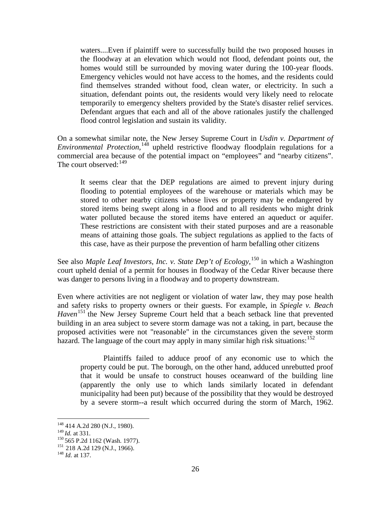waters....Even if plaintiff were to successfully build the two proposed houses in the floodway at an elevation which would not flood, defendant points out, the homes would still be surrounded by moving water during the 100-year floods. Emergency vehicles would not have access to the homes, and the residents could find themselves stranded without food, clean water, or electricity. In such a situation, defendant points out, the residents would very likely need to relocate temporarily to emergency shelters provided by the State's disaster relief services. Defendant argues that each and all of the above rationales justify the challenged flood control legislation and sustain its validity.

On a somewhat similar note, the New Jersey Supreme Court in *Usdin v. Department of Environmental Protection*, [148](#page-36-0) upheld restrictive floodway floodplain regulations for a commercial area because of the potential impact on "employees" and "nearby citizens". The court observed: $149$ 

It seems clear that the DEP regulations are aimed to prevent injury during flooding to potential employees of the warehouse or materials which may be stored to other nearby citizens whose lives or property may be endangered by stored items being swept along in a flood and to all residents who might drink water polluted because the stored items have entered an aqueduct or aquifer. These restrictions are consistent with their stated purposes and are a reasonable means of attaining those goals. The subject regulations as applied to the facts of this case, have as their purpose the prevention of harm befalling other citizens

See also *Maple Leaf Investors, Inc. v. State Dep't of Ecology*,<sup>[150](#page-36-2)</sup> in which a Washington court upheld denial of a permit for houses in floodway of the Cedar River because there was danger to persons living in a floodway and to property downstream.

Even where activities are not negligent or violation of water law, they may pose health and safety risks to property owners or their guests. For example, in *Spiegle v. Beach Haven*<sup>[151](#page-36-3)</sup> the New Jersey Supreme Court held that a beach setback line that prevented building in an area subject to severe storm damage was not a taking, in part, because the proposed activities were not "reasonable" in the circumstances given the severe storm hazard. The language of the court may apply in many similar high risk situations:<sup>[152](#page-36-4)</sup>

Plaintiffs failed to adduce proof of any economic use to which the property could be put. The borough, on the other hand, adduced unrebutted proof that it would be unsafe to construct houses oceanward of the building line (apparently the only use to which lands similarly located in defendant municipality had been put) because of the possibility that they would be destroyed by a severe storm--a result which occurred during the storm of March, 1962.

<span id="page-36-0"></span> $^{148}_{149}$  414 A.2d 280 (N.J., 1980).<br> $^{149}$  *Id.* at 331.

<span id="page-36-3"></span><span id="page-36-2"></span><span id="page-36-1"></span><sup>150 565</sup> P.2d 1162 (Wash. 1977).<br><sup>151</sup> 218 A.2d 129 (N.J., 1966).<br><sup>148</sup> *Id.* at 137.

<span id="page-36-4"></span>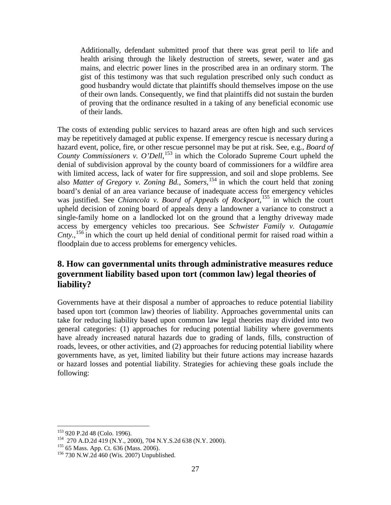Additionally, defendant submitted proof that there was great peril to life and health arising through the likely destruction of streets, sewer, water and gas mains, and electric power lines in the proscribed area in an ordinary storm. The gist of this testimony was that such regulation prescribed only such conduct as good husbandry would dictate that plaintiffs should themselves impose on the use of their own lands. Consequently, we find that plaintiffs did not sustain the burden of proving that the ordinance resulted in a taking of any beneficial economic use of their lands.

The costs of extending public services to hazard areas are often high and such services may be repetitively damaged at public expense. If emergency rescue is necessary during a hazard event, police, fire, or other rescue personnel may be put at risk. See, e.g., *Board of*  County Commissioners v. O'Dell,<sup>[153](#page-37-1)</sup> in which the Colorado Supreme Court upheld the denial of subdivision approval by the county board of commissioners for a wildfire area with limited access, lack of water for fire suppression, and soil and slope problems. See also *Matter of Gregory v. Zoning Bd., Somers,*[154](#page-37-2) in which the court held that zoning board's denial of an area variance because of inadequate access for emergency vehicles was justified. See *Chiancola v. Board of Appeals of Rockport*, [155](#page-37-3) in which the court upheld decision of zoning board of appeals deny a landowner a variance to construct a single-family home on a landlocked lot on the ground that a lengthy driveway made access by emergency vehicles too precarious. See *Schwister Family v. Outagamie Cnty.*, [156](#page-37-4) in which the court up held denial of conditional permit for raised road within a floodplain due to access problems for emergency vehicles.

# <span id="page-37-0"></span>**8. How can governmental units through administrative measures reduce government liability based upon tort (common law) legal theories of liability?**

Governments have at their disposal a number of approaches to reduce potential liability based upon tort (common law) theories of liability. Approaches governmental units can take for reducing liability based upon common law legal theories may divided into two general categories: (1) approaches for reducing potential liability where governments have already increased natural hazards due to grading of lands, fills, construction of roads, levees, or other activities, and (2) approaches for reducing potential liability where governments have, as yet, limited liability but their future actions may increase hazards or hazard losses and potential liability. Strategies for achieving these goals include the following:

<span id="page-37-2"></span><span id="page-37-1"></span><sup>&</sup>lt;sup>153</sup> 920 P.2d 48 (Colo. 1996).<br>
<sup>154</sup> 270 A.D.2d 419 (N.Y., 2000), 704 N.Y.S.2d 638 (N.Y. 2000).<br>
<sup>155</sup> 65 Mass. App. Ct. 636 (Mass. 2006).<br>
<sup>156</sup> 730 N.W.2d 460 (Wis. 2007) Unpublished.

<span id="page-37-3"></span>

<span id="page-37-4"></span>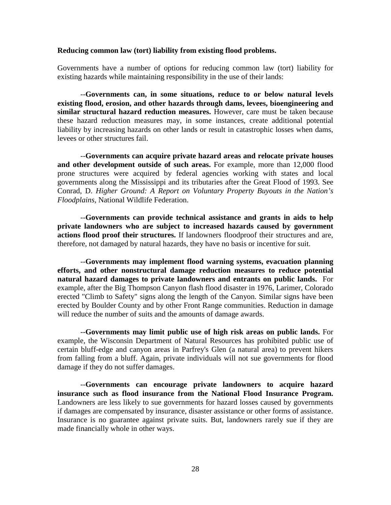#### <span id="page-38-0"></span>**Reducing common law (tort) liability from existing flood problems.**

Governments have a number of options for reducing common law (tort) liability for existing hazards while maintaining responsibility in the use of their lands:

--**Governments can, in some situations, reduce to or below natural levels existing flood, erosion, and other hazards through dams, levees, bioengineering and similar structural hazard reduction measures.** However, care must be taken because these hazard reduction measures may, in some instances, create additional potential liability by increasing hazards on other lands or result in catastrophic losses when dams, levees or other structures fail.

--**Governments can acquire private hazard areas and relocate private houses and other development outside of such areas.** For example, more than 12,000 flood prone structures were acquired by federal agencies working with states and local governments along the Mississippi and its tributaries after the Great Flood of 1993. See Conrad, D. *Higher Ground: A Report on Voluntary Property Buyouts in the Nation's Floodplains,* National Wildlife Federation.

--**Governments can provide technical assistance and grants in aids to help private landowners who are subject to increased hazards caused by government actions flood proof their structures.** If landowners floodproof their structures and are, therefore, not damaged by natural hazards, they have no basis or incentive for suit.

--**Governments may implement flood warning systems, evacuation planning efforts, and other nonstructural damage reduction measures to reduce potential natural hazard damages to private landowners and entrants on public lands.** For example, after the Big Thompson Canyon flash flood disaster in 1976, Larimer, Colorado erected "Climb to Safety" signs along the length of the Canyon. Similar signs have been erected by Boulder County and by other Front Range communities. Reduction in damage will reduce the number of suits and the amounts of damage awards.

--**Governments may limit public use of high risk areas on public lands.** For example, the Wisconsin Department of Natural Resources has prohibited public use of certain bluff-edge and canyon areas in Parfrey's Glen (a natural area) to prevent hikers from falling from a bluff. Again, private individuals will not sue governments for flood damage if they do not suffer damages.

--**Governments can encourage private landowners to acquire hazard insurance such as flood insurance from the National Flood Insurance Program.**  Landowners are less likely to sue governments for hazard losses caused by governments if damages are compensated by insurance, disaster assistance or other forms of assistance. Insurance is no guarantee against private suits. But, landowners rarely sue if they are made financially whole in other ways.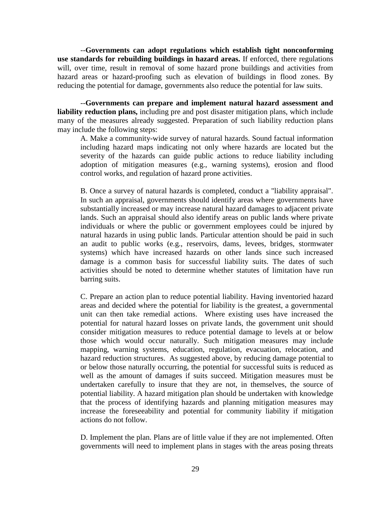--**Governments can adopt regulations which establish tight nonconforming use standards for rebuilding buildings in hazard areas.** If enforced, there regulations will, over time, result in removal of some hazard prone buildings and activities from hazard areas or hazard-proofing such as elevation of buildings in flood zones. By reducing the potential for damage, governments also reduce the potential for law suits.

--**Governments can prepare and implement natural hazard assessment and liability reduction plans,** including pre and post disaster mitigation plans, which include many of the measures already suggested. Preparation of such liability reduction plans may include the following steps:

A. Make a community-wide survey of natural hazards. Sound factual information including hazard maps indicating not only where hazards are located but the severity of the hazards can guide public actions to reduce liability including adoption of mitigation measures (e.g., warning systems), erosion and flood control works, and regulation of hazard prone activities.

B. Once a survey of natural hazards is completed, conduct a "liability appraisal". In such an appraisal, governments should identify areas where governments have substantially increased or may increase natural hazard damages to adjacent private lands. Such an appraisal should also identify areas on public lands where private individuals or where the public or government employees could be injured by natural hazards in using public lands. Particular attention should be paid in such an audit to public works (e.g., reservoirs, dams, levees, bridges, stormwater systems) which have increased hazards on other lands since such increased damage is a common basis for successful liability suits. The dates of such activities should be noted to determine whether statutes of limitation have run barring suits.

C. Prepare an action plan to reduce potential liability. Having inventoried hazard areas and decided where the potential for liability is the greatest, a governmental unit can then take remedial actions. Where existing uses have increased the potential for natural hazard losses on private lands, the government unit should consider mitigation measures to reduce potential damage to levels at or below those which would occur naturally. Such mitigation measures may include mapping, warning systems, education, regulation, evacuation, relocation, and hazard reduction structures. As suggested above, by reducing damage potential to or below those naturally occurring, the potential for successful suits is reduced as well as the amount of damages if suits succeed. Mitigation measures must be undertaken carefully to insure that they are not, in themselves, the source of potential liability. A hazard mitigation plan should be undertaken with knowledge that the process of identifying hazards and planning mitigation measures may increase the foreseeability and potential for community liability if mitigation actions do not follow.

D. Implement the plan. Plans are of little value if they are not implemented. Often governments will need to implement plans in stages with the areas posing threats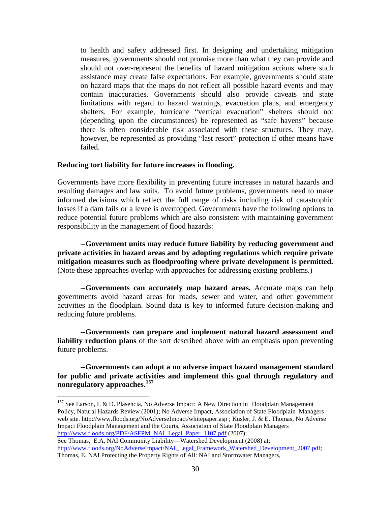to health and safety addressed first. In designing and undertaking mitigation measures, governments should not promise more than what they can provide and should not over-represent the benefits of hazard mitigation actions where such assistance may create false expectations. For example, governments should state on hazard maps that the maps do not reflect all possible hazard events and may contain inaccuracies. Governments should also provide caveats and state limitations with regard to hazard warnings, evacuation plans, and emergency shelters. For example, hurricane "vertical evacuation" shelters should not (depending upon the circumstances) be represented as "safe havens" because there is often considerable risk associated with these structures. They may, however, be represented as providing "last resort" protection if other means have failed.

#### <span id="page-40-0"></span>**Reducing tort liability for future increases in flooding.**

Governments have more flexibility in preventing future increases in natural hazards and resulting damages and law suits. To avoid future problems, governments need to make informed decisions which reflect the full range of risks including risk of catastrophic losses if a dam fails or a levee is overtopped. Governments have the following options to reduce potential future problems which are also consistent with maintaining government responsibility in the management of flood hazards:

--**Government units may reduce future liability by reducing government and private activities in hazard areas and by adopting regulations which require private mitigation measures such as floodproofing where private development is permitted.** (Note these approaches overlap with approaches for addressing existing problems.)

--**Governments can accurately map hazard areas.** Accurate maps can help governments avoid hazard areas for roads, sewer and water, and other government activities in the floodplain. Sound data is key to informed future decision-making and reducing future problems.

--**Governments can prepare and implement natural hazard assessment and liability reduction plans** of the sort described above with an emphasis upon preventing future problems.

--**Governments can adopt a no adverse impact hazard management standard for public and private activities and implement this goal through regulatory and nonregulatory approaches**. **[157](#page-40-1)**

<span id="page-40-1"></span><sup>&</sup>lt;sup>157</sup> See Larson, L & D. Plasencia, No Adverse Impact: A New Direction in Floodplain Management Policy, Natural Hazards Review (2001); No Adverse Impact, Association of State Floodplain Managers web site. http://www.floods.org/NoAdverseImpact/whitepaper.asp ; Kusler, J. & E. Thomas, No Adverse Impact Floodplain Management and the Courts, Association of State Floodplain Managers [http://www.floods.org/PDF/ASFPM\\_NAI\\_Legal\\_Paper\\_1107.pdf](http://www.floods.org/PDF/ASFPM_NAI_Legal_Paper_1107.pdf) (2007);

See Thomas, E.A, NAI Community Liability—Watershed Development (2008) at; [http://www.floods.org/NoAdverseImpact/NAI\\_Legal\\_Framework\\_Watershed\\_Development\\_2007.pdf;](http://www.floods.org/NoAdverseImpact/NAI_Legal_Framework_Watershed_Development_2007.pdf) Thomas, E. NAI Protecting the Property Rights of All: NAI and Stormwater Managers,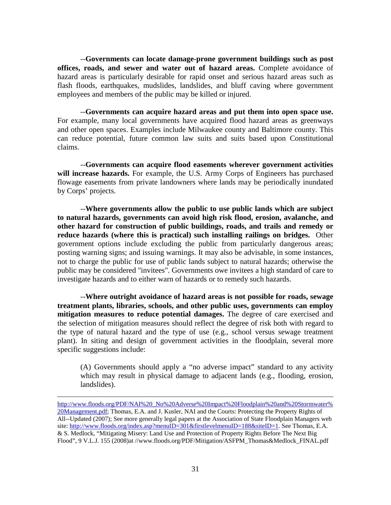--**Governments can locate damage-prone government buildings such as post offices, roads, and sewer and water out of hazard areas.** Complete avoidance of hazard areas is particularly desirable for rapid onset and serious hazard areas such as flash floods, earthquakes, mudslides, landslides, and bluff caving where government employees and members of the public may be killed or injured.

--**Governments can acquire hazard areas and put them into open space use.** For example, many local governments have acquired flood hazard areas as greenways and other open spaces. Examples include Milwaukee county and Baltimore county. This can reduce potential, future common law suits and suits based upon Constitutional claims.

--**Governments can acquire flood easements wherever government activities will increase hazards.** For example, the U.S. Army Corps of Engineers has purchased flowage easements from private landowners where lands may be periodically inundated by Corps' projects.

--**Where governments allow the public to use public lands which are subject to natural hazards, governments can avoid high risk flood, erosion, avalanche, and other hazard for construction of public buildings, roads, and trails and remedy or reduce hazards (where this is practical) such installing railings on bridges.** Other government options include excluding the public from particularly dangerous areas; posting warning signs; and issuing warnings. It may also be advisable, in some instances, not to charge the public for use of public lands subject to natural hazards; otherwise the public may be considered "invitees". Governments owe invitees a high standard of care to investigate hazards and to either warn of hazards or to remedy such hazards.

--**Where outright avoidance of hazard areas is not possible for roads, sewage treatment plants, libraries, schools, and other public uses, governments can employ mitigation measures to reduce potential damages.** The degree of care exercised and the selection of mitigation measures should reflect the degree of risk both with regard to the type of natural hazard and the type of use (e.g., school versus sewage treatment plant). In siting and design of government activities in the floodplain, several more specific suggestions include:

(A) Governments should apply a "no adverse impact" standard to any activity which may result in physical damage to adjacent lands (e.g., flooding, erosion, landslides).

 $\overline{a}$ 

[http://www.floods.org/PDF/NAI%20\\_No%20Adverse%20Impact%20Floodplain%20and%20Stormwater%](http://www.floods.org/PDF/NAI%20_No%20Adverse%20Impact%20Floodplain%20and%20Stormwater%20Management.pdf) [20Management.pdf;](http://www.floods.org/PDF/NAI%20_No%20Adverse%20Impact%20Floodplain%20and%20Stormwater%20Management.pdf) Thomas, E.A. and J. Kusler, NAI and the Courts: Protecting the Property Rights of All--Updated (2007); See more generally legal papers at the Association of State Floodplain Managers web site: [http://www.floods.org/index.asp?menuID=301&firstlevelmenuID=188&siteID=1.](http://www.floods.org/index.asp?menuID=301&firstlevelmenuID=188&siteID=1) See Thomas, E.A. & S. Medlock, "Mitigating Misery: Land Use and Protection of Property Rights Before The Next Big Flood", 9 V.L.J. 155 (2008)at //www.floods.org/PDF/Mitigation/ASFPM\_Thomas&Medlock\_FINAL.pdf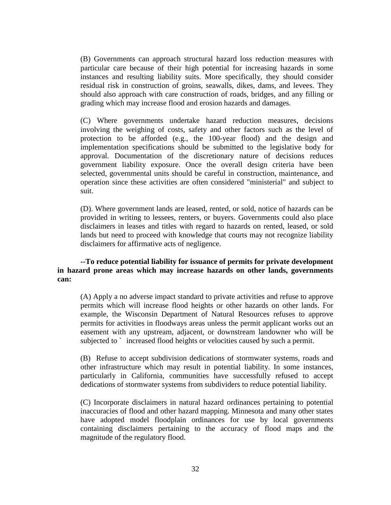(B) Governments can approach structural hazard loss reduction measures with particular care because of their high potential for increasing hazards in some instances and resulting liability suits. More specifically, they should consider residual risk in construction of groins, seawalls, dikes, dams, and levees. They should also approach with care construction of roads, bridges, and any filling or grading which may increase flood and erosion hazards and damages.

(C) Where governments undertake hazard reduction measures, decisions involving the weighing of costs, safety and other factors such as the level of protection to be afforded (e.g., the 100-year flood) and the design and implementation specifications should be submitted to the legislative body for approval. Documentation of the discretionary nature of decisions reduces government liability exposure. Once the overall design criteria have been selected, governmental units should be careful in construction, maintenance, and operation since these activities are often considered "ministerial" and subject to suit.

(D). Where government lands are leased, rented, or sold, notice of hazards can be provided in writing to lessees, renters, or buyers. Governments could also place disclaimers in leases and titles with regard to hazards on rented, leased, or sold lands but need to proceed with knowledge that courts may not recognize liability disclaimers for affirmative acts of negligence.

**--To reduce potential liability for issuance of permits for private development in hazard prone areas which may increase hazards on other lands, governments can:**

(A) Apply a no adverse impact standard to private activities and refuse to approve permits which will increase flood heights or other hazards on other lands. For example, the Wisconsin Department of Natural Resources refuses to approve permits for activities in floodways areas unless the permit applicant works out an easement with any upstream, adjacent, or downstream landowner who will be subjected to ` increased flood heights or velocities caused by such a permit.

(B) Refuse to accept subdivision dedications of stormwater systems, roads and other infrastructure which may result in potential liability. In some instances, particularly in California, communities have successfully refused to accept dedications of stormwater systems from subdividers to reduce potential liability.

(C) Incorporate disclaimers in natural hazard ordinances pertaining to potential inaccuracies of flood and other hazard mapping. Minnesota and many other states have adopted model floodplain ordinances for use by local governments containing disclaimers pertaining to the accuracy of flood maps and the magnitude of the regulatory flood.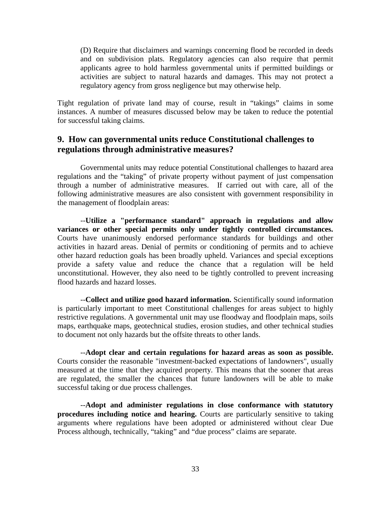(D) Require that disclaimers and warnings concerning flood be recorded in deeds and on subdivision plats. Regulatory agencies can also require that permit applicants agree to hold harmless governmental units if permitted buildings or activities are subject to natural hazards and damages. This may not protect a regulatory agency from gross negligence but may otherwise help.

Tight regulation of private land may of course, result in "takings" claims in some instances. A number of measures discussed below may be taken to reduce the potential for successful taking claims.

## <span id="page-43-0"></span>**9. How can governmental units reduce Constitutional challenges to regulations through administrative measures?**

Governmental units may reduce potential Constitutional challenges to hazard area regulations and the "taking" of private property without payment of just compensation through a number of administrative measures. If carried out with care, all of the following administrative measures are also consistent with government responsibility in the management of floodplain areas:

--**Utilize a "performance standard" approach in regulations and allow variances or other special permits only under tightly controlled circumstances.** Courts have unanimously endorsed performance standards for buildings and other activities in hazard areas. Denial of permits or conditioning of permits and to achieve other hazard reduction goals has been broadly upheld. Variances and special exceptions provide a safety value and reduce the chance that a regulation will be held unconstitutional. However, they also need to be tightly controlled to prevent increasing flood hazards and hazard losses.

--**Collect and utilize good hazard information.** Scientifically sound information is particularly important to meet Constitutional challenges for areas subject to highly restrictive regulations. A governmental unit may use floodway and floodplain maps, soils maps, earthquake maps, geotechnical studies, erosion studies, and other technical studies to document not only hazards but the offsite threats to other lands.

--**Adopt clear and certain regulations for hazard areas as soon as possible.** Courts consider the reasonable "investment-backed expectations of landowners", usually measured at the time that they acquired property. This means that the sooner that areas are regulated, the smaller the chances that future landowners will be able to make successful taking or due process challenges.

--**Adopt and administer regulations in close conformance with statutory procedures including notice and hearing.** Courts are particularly sensitive to taking arguments where regulations have been adopted or administered without clear Due Process although, technically, "taking" and "due process" claims are separate.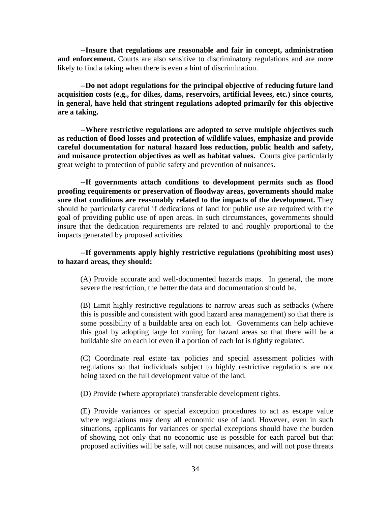--**Insure that regulations are reasonable and fair in concept, administration and enforcement.** Courts are also sensitive to discriminatory regulations and are more likely to find a taking when there is even a hint of discrimination.

--**Do not adopt regulations for the principal objective of reducing future land acquisition costs (e.g., for dikes, dams, reservoirs, artificial levees, etc.) since courts, in general, have held that stringent regulations adopted primarily for this objective are a taking.**

--**Where restrictive regulations are adopted to serve multiple objectives such as reduction of flood losses and protection of wildlife values, emphasize and provide careful documentation for natural hazard loss reduction, public health and safety, and nuisance protection objectives as well as habitat values.** Courts give particularly great weight to protection of public safety and prevention of nuisances.

--**If governments attach conditions to development permits such as flood proofing requirements or preservation of floodway areas, governments should make sure that conditions are reasonably related to the impacts of the development.** They should be particularly careful if dedications of land for public use are required with the goal of providing public use of open areas. In such circumstances, governments should insure that the dedication requirements are related to and roughly proportional to the impacts generated by proposed activities.

#### --**If governments apply highly restrictive regulations (prohibiting most uses) to hazard areas, they should:**

(A) Provide accurate and well-documented hazards maps. In general, the more severe the restriction, the better the data and documentation should be.

(B) Limit highly restrictive regulations to narrow areas such as setbacks (where this is possible and consistent with good hazard area management) so that there is some possibility of a buildable area on each lot. Governments can help achieve this goal by adopting large lot zoning for hazard areas so that there will be a buildable site on each lot even if a portion of each lot is tightly regulated.

(C) Coordinate real estate tax policies and special assessment policies with regulations so that individuals subject to highly restrictive regulations are not being taxed on the full development value of the land.

(D) Provide (where appropriate) transferable development rights.

(E) Provide variances or special exception procedures to act as escape value where regulations may deny all economic use of land. However, even in such situations, applicants for variances or special exceptions should have the burden of showing not only that no economic use is possible for each parcel but that proposed activities will be safe, will not cause nuisances, and will not pose threats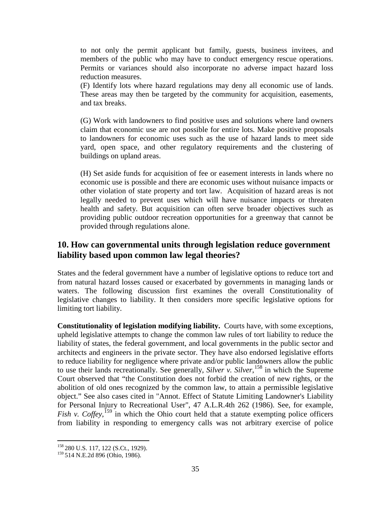to not only the permit applicant but family, guests, business invitees, and members of the public who may have to conduct emergency rescue operations. Permits or variances should also incorporate no adverse impact hazard loss reduction measures.

(F) Identify lots where hazard regulations may deny all economic use of lands. These areas may then be targeted by the community for acquisition, easements, and tax breaks.

(G) Work with landowners to find positive uses and solutions where land owners claim that economic use are not possible for entire lots. Make positive proposals to landowners for economic uses such as the use of hazard lands to meet side yard, open space, and other regulatory requirements and the clustering of buildings on upland areas.

(H) Set aside funds for acquisition of fee or easement interests in lands where no economic use is possible and there are economic uses without nuisance impacts or other violation of state property and tort law. Acquisition of hazard areas is not legally needed to prevent uses which will have nuisance impacts or threaten health and safety. But acquisition can often serve broader objectives such as providing public outdoor recreation opportunities for a greenway that cannot be provided through regulations alone.

# <span id="page-45-0"></span>**10. How can governmental units through legislation reduce government liability based upon common law legal theories?**

States and the federal government have a number of legislative options to reduce tort and from natural hazard losses caused or exacerbated by governments in managing lands or waters. The following discussion first examines the overall Constitutionality of legislative changes to liability. It then considers more specific legislative options for limiting tort liability.

**Constitutionality of legislation modifying liability.** Courts have, with some exceptions, upheld legislative attempts to change the common law rules of tort liability to reduce the liability of states, the federal government, and local governments in the public sector and architects and engineers in the private sector. They have also endorsed legislative efforts to reduce liability for negligence where private and/or public landowners allow the public to use their lands recreationally. See generally, *Silver v. Silver*, [158](#page-45-1) in which the Supreme Court observed that "the Constitution does not forbid the creation of new rights, or the abolition of old ones recognized by the common law, to attain a permissible legislative object." See also cases cited in "Annot. Effect of Statute Limiting Landowner's Liability for Personal Injury to Recreational User", 47 A.L.R.4th 262 (1986). See, for example, Fish v. Coffey,<sup>[159](#page-45-2)</sup> in which the Ohio court held that a statute exempting police officers from liability in responding to emergency calls was not arbitrary exercise of police

<span id="page-45-2"></span><span id="page-45-1"></span><sup>&</sup>lt;sup>158</sup> 280 U.S. 117, 122 (S.Ct., 1929).<br><sup>159</sup> 514 N.E.2d 896 (Ohio, 1986).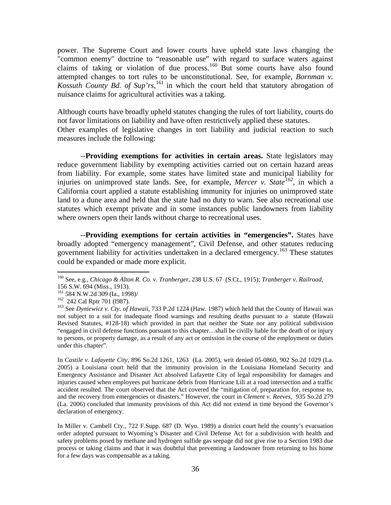power. The Supreme Court and lower courts have upheld state laws changing the "common enemy" doctrine to "reasonable use" with regard to surface waters against claims of taking or violation of due process.<sup>[160](#page-46-0)</sup> But some courts have also found attempted changes to tort rules to be unconstitutional. See, for example, *Bornman v. Kossuth County Bd. of Sup'rs*, [161](#page-46-1) in which the court held that statutory abrogation of nuisance claims for agricultural activities was a taking.

Although courts have broadly upheld statutes changing the rules of tort liability, courts do not favor limitations on liability and have often restrictively applied these statutes. Other examples of legislative changes in tort liability and judicial reaction to such measures include the following:

--**Providing exemptions for activities in certain areas.** State legislators may reduce government liability by exempting activities carried out on certain hazard areas from liability. For example, some states have limited state and municipal liability for injuries on unimproved state lands. See, for example, *Mercer v. State[162](#page-46-2)*, in which a California court applied a statute establishing immunity for injuries on unimproved state land to a dune area and held that the state had no duty to warn. See also recreational use statutes which exempt private and in some instances public landowners from liability where owners open their lands without charge to recreational uses.

--**Providing exemptions for certain activities in "emergencies".** States have broadly adopted "emergency management", Civil Defense, and other statutes reducing government liability for activities undertaken in a declared emergency.[163](#page-46-3) These statutes could be expanded or made more explicit.

In *Castile v. Lafayette City*, 896 So.2d 1261, 1263 (La. 2005), writ denied 05-0860, 902 So.2d 1029 (La. 2005) a Louisiana court held that the immunity provision in the Louisiana Homeland Security and Emergency Assistance and Disaster Act absolved Lafayette City of legal responsibility for damages and injuries caused when employees put hurricane debris from Hurricane Lili at a road intersection and a traffic accident resulted. The court observed that the Act covered the "mitigation of, preparation for, response to, and the recovery from emergencies or disasters." However, the court in *Clement v. Reeves*, 935 So.2d 279 (La. 2006) concluded that immunity provisions of this Act did not extend in time beyond the Governor's declaration of emergency.

In Miller v. Cambell Cty., 722 F.Supp. 687 (D. Wyo. 1989) a district court held the county's evacuation order adopted pursuant to Wyoming's Disaster and Civil Defense Act for a subdivision with health and safety problems posed by methane and hydrogen sulfide gas seepage did not give rise to a Section 1983 due process or taking claims and that it was doubtful that preventing a landowner from returning to his home for a few days was compensable as a taking.

<span id="page-46-0"></span> <sup>160</sup> See, e.g., *Chicago & Alton R. Co. v. Tranberger*, 238 U.S. 67 (S.Ct., 1915); *Tranberger v. Railroad*,

<sup>156</sup> S.W. 694 (Miss., 1913).

<span id="page-46-3"></span><span id="page-46-2"></span><span id="page-46-1"></span><sup>&</sup>lt;sup>162</sup> 242 Cal Rptr 701 (1987).<br><sup>163</sup> See *Dyniewicz v. Cty. of Hawaii*, 733 P.2d 1224 (Haw. 1987) which held that the County of Hawaii was not subject to a suit for inadequate flood warnings and resulting deaths pursuant to a statute (Hawaii Revised Statutes, #128-18) which provided in part that neither the State nor any political subdivision "engaged in civil defense functions pursuant to this chapter…shall be civilly liable for the death of or injury to persons, or property damage, as a result of any act or omission in the course of the employment or duties under this chapter".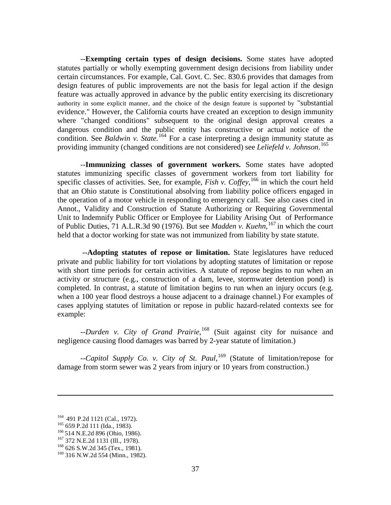--**Exempting certain types of design decisions.** Some states have adopted statutes partially or wholly exempting government design decisions from liability under certain circumstances. For example, Cal. Govt. C. Sec. 830.6 provides that damages from design features of public improvements are not the basis for legal action if the design feature was actually approved in advance by the public entity exercising its discretionary authority in some explicit manner, and the choice of the design feature is supported by "substantial evidence." However, the California courts have created an exception to design immunity where "changed conditions" subsequent to the original design approval creates a dangerous condition and the public entity has constructive or actual notice of the condition. See *Baldwin v. State.* [164](#page-47-0) For a case interpreting a design immunity statute as providing immunity (changed conditions are not considered) see *Leliefeld v. Johnson*. [165](#page-47-1)

--**Immunizing classes of government workers.** Some states have adopted statutes immunizing specific classes of government workers from tort liability for specific classes of activities. See, for example, *Fish v. Coffey*,<sup>[166](#page-47-2)</sup> in which the court held that an Ohio statute is Constitutional absolving from liability police officers engaged in the operation of a motor vehicle in responding to emergency call. See also cases cited in Annot., Validity and Construction of Statute Authorizing or Requiring Governmental Unit to Indemnify Public Officer or Employee for Liability Arising Out of Performance of Public Duties, 71 A.L.R.3d 90 (1976). But see *Madden v. Kuehn*, [167](#page-47-3) in which the court held that a doctor working for state was not immunized from liability by state statute.

**--Adopting statutes of repose or limitation.** State legislatures have reduced private and public liability for tort violations by adopting statutes of limitation or repose with short time periods for certain activities. A statute of repose begins to run when an activity or structure (e.g., construction of a dam, levee, stormwater detention pond) is completed. In contrast, a statute of limitation begins to run when an injury occurs (e.g. when a 100 year flood destroys a house adjacent to a drainage channel.) For examples of cases applying statutes of limitation or repose in public hazard-related contexts see for example:

--*Durden v. City of Grand Prairie*, [168](#page-47-4) (Suit against city for nuisance and negligence causing flood damages was barred by 2-year statute of limitation.)

--*Capitol Supply Co. v. City of St. Paul*, [169](#page-47-5) (Statute of limitation/repose for damage from storm sewer was 2 years from injury or 10 years from construction.)

 $\overline{a}$ 

<span id="page-47-3"></span><span id="page-47-2"></span>

<span id="page-47-1"></span><span id="page-47-0"></span><sup>&</sup>lt;sup>164</sup> 491 P.2d 1121 (Cal., 1972).<br><sup>165</sup> 659 P.2d 111 (Ida., 1983).<br><sup>166</sup> 514 N.E.2d 896 (Ohio, 1986).<br><sup>167</sup> 372 N.E.2d 1131 (Ill., 1978).<br><sup>168</sup> 626 S.W.2d 345 (Tex., 1981).

<span id="page-47-5"></span><span id="page-47-4"></span><sup>&</sup>lt;sup>169</sup> 316 N.W.2d 554 (Minn., 1982).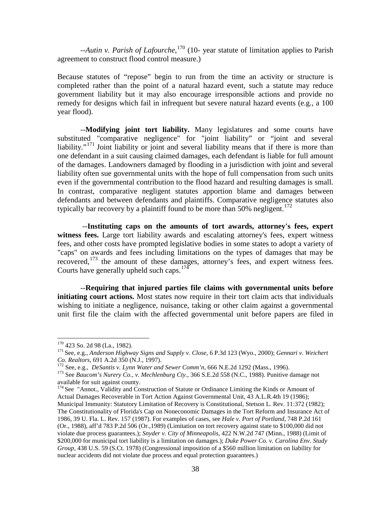--*Autin v. Parish of Lafourche*, [170](#page-48-0) (10- year statute of limitation applies to Parish agreement to construct flood control measure.)

Because statutes of "repose" begin to run from the time an activity or structure is completed rather than the point of a natural hazard event, such a statute may reduce government liability but it may also encourage irresponsible actions and provide no remedy for designs which fail in infrequent but severe natural hazard events (e.g., a 100 year flood).

--**Modifying joint tort liability.** Many legislatures and some courts have substituted "comparative negligence" for "joint liability" or "joint and several liability."<sup>[171](#page-48-1)</sup> Joint liability or joint and several liability means that if there is more than one defendant in a suit causing claimed damages, each defendant is liable for full amount of the damages. Landowners damaged by flooding in a jurisdiction with joint and several liability often sue governmental units with the hope of full compensation from such units even if the governmental contribution to the flood hazard and resulting damages is small. In contrast, comparative negligent statutes apportion blame and damages between defendants and between defendants and plaintiffs. Comparative negligence statutes also typically bar recovery by a plaintiff found to be more than 50% negligent.<sup>[172](#page-48-2)</sup>

--**Instituting caps on the amounts of tort awards, attorney's fees, expert witness fees.** Large tort liability awards and escalating attorney's fees, expert witness fees, and other costs have prompted legislative bodies in some states to adopt a variety of "caps" on awards and fees including limitations on the types of damages that may be recovered,[173](#page-48-3) the amount of these damages, attorney's fees, and expert witness fees. Courts have generally upheld such caps.  $174$ 

--**Requiring that injured parties file claims with governmental units before initiating court actions.** Most states now require in their tort claim acts that individuals wishing to initiate a negligence, nuisance, taking or other claim against a governmental unit first file the claim with the affected governmental unit before papers are filed in

<span id="page-48-1"></span><span id="page-48-0"></span><sup>&</sup>lt;sup>170</sup> 423 So. 2d 98 (La., 1982).<br><sup>171</sup> See, e.g., *Anderson Highway Signs and Supply v. Close*, 6 P.3d 123 (Wyo., 2000); *Gennari v. Weichert Co. Realtors*, 691 A.2d 350 (N.J., 1997).

<span id="page-48-3"></span><span id="page-48-2"></span><sup>172</sup> See, e.g., *DeSantis v. Lynn Water and Sewer Comm'n*, 666 N.E.2d 1292 (Mass., 1996).<br><sup>173</sup> See Baucom's Nurery Co., *v. Mechlenburg Cty.*, 366 S.E.2d 558 (N.C., 1988). Punitive damage not available for suit against county.

<span id="page-48-4"></span><sup>&</sup>lt;sup>174</sup> See "Annot., Validity and Construction of Statute or Ordinance Limiting the Kinds or Amount of Actual Damages Recoverable in Tort Action Against Governmental Unit, 43 A.L.R.4th 19 (1986); Municipal Immunity: Statutory Limitation of Recovery is Constitutional, Stetson L. Rev. 11:372 (1982); The Constitutionality of Florida's Cap on Noneconomic Damages in the Tort Reform and Insurance Act of 1986, 39 U. Fla. L. Rev. 157 (1987). For examples of cases, see *Hale v. Port of Portland*, 748 P.2d 161 (Or., 1988), aff'd 783 P.2d 506 (Or.,1989) (Limitation on tort recovery against state to \$100,000 did not violate due process guarantees.); *Snyder v. City of Minneapolis*, 422 N.W.2d 747 (Minn., 1988) (Limit of \$200,000 for municipal tort liability is a limitation on damages.); *Duke Power Co. v. Carolina Env. Study Group*, 438 U.S. 59 (S.Ct. 1978) (Congressional imposition of a \$560 million limitation on liability for nuclear accidents did not violate due process and equal protection guarantees.)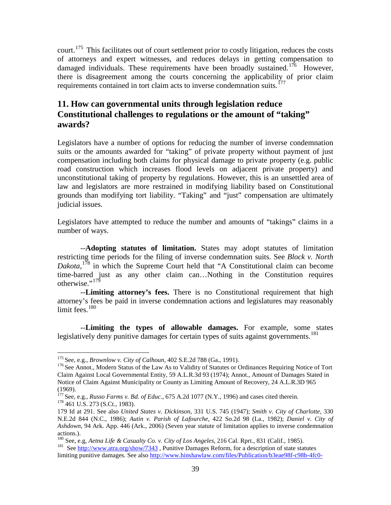court.<sup>[175](#page-49-1)</sup> This facilitates out of court settlement prior to costly litigation, reduces the costs of attorneys and expert witnesses, and reduces delays in getting compensation to damaged individuals. These requirements have been broadly sustained.<sup>[176](#page-49-2)</sup> However, there is disagreement among the courts concerning the applicability of prior claim requirements contained in tort claim acts to inverse condemnation suits.<sup>[177](#page-49-3)</sup>

# <span id="page-49-0"></span>**11. How can governmental units through legislation reduce Constitutional challenges to regulations or the amount of "taking" awards?**

Legislators have a number of options for reducing the number of inverse condemnation suits or the amounts awarded for "taking" of private property without payment of just compensation including both claims for physical damage to private property (e.g. public road construction which increases flood levels on adjacent private property) and unconstitutional taking of property by regulations. However, this is an unsettled area of law and legislators are more restrained in modifying liability based on Constitutional grounds than modifying tort liability. "Taking" and "just" compensation are ultimately judicial issues.

Legislators have attempted to reduce the number and amounts of "takings" claims in a number of ways.

--**Adopting statutes of limitation.** States may adopt statutes of limitation restricting time periods for the filing of inverse condemnation suits. See *Block v. North Dakota*, [178](#page-49-4) in which the Supreme Court held that "A Constitutional claim can become time-barred just as any other claim can…Nothing in the Constitution requires otherwise."<sup>[179](#page-49-5)</sup>

--**Limiting attorney's fees.** There is no Constitutional requirement that high attorney's fees be paid in inverse condemnation actions and legislatures may reasonably limit fees.<sup>[180](#page-49-6)</sup>

--**Limiting the types of allowable damages.** For example, some states legislatively deny punitive damages for certain types of suits against governments.<sup>[181](#page-49-7)</sup>

<span id="page-49-2"></span><span id="page-49-1"></span><sup>&</sup>lt;sup>175</sup> See, e.g., *Brownlow v. City of Calhoun*, 402 S.E.2d 788 (Ga., 1991).<br><sup>176</sup> See Annot., Modern Status of the Law As to Validity of Statutes or Ordinances Requiring Notice of Tort Claim Against Local Governmental Entity, 59 A.L.R.3d 93 (1974); Annot., Amount of Damages Stated in Notice of Claim Against Municipality or County as Limiting Amount of Recovery, 24 A.L.R.3D 965 (1969).

<span id="page-49-3"></span><sup>&</sup>lt;sup>177</sup> See, e.g., *Russo Farms v. Bd. of Educ.*, 675 A.2d 1077 (N.Y., 1996) and cases cited therein. <sup>178</sup> 461 U.S. 273 (S.Ct., 1983).

<span id="page-49-5"></span><span id="page-49-4"></span><sup>179</sup> Id at 291. See also *United States v. Dickinson*, 331 U.S. 745 (1947); *Smith v. City of Charlotte*, 330 N.E.2d 844 (N.C., 1986); *Autin v. Parish of Lafourche*, 422 So.2d 98 (La., 1982); *Daniel v. City of Ashdown*, 94 Ark. App. 446 (Ark., 2006) (Seven year statute of limitation applies to inverse condemnation actions.).<br><sup>180</sup> See, e.g. *Aetna Life & Casualty Co. v. City of Los Angeles*, 216 Cal. Rprt., 831 (Calif., 1985).

<span id="page-49-7"></span><span id="page-49-6"></span><sup>&</sup>lt;sup>181</sup> Se[e http://www.atra.org/show/7343](http://www.atra.org/show/7343) , Punitive Damages Reform, for a description of state statutes

limiting punitive damages. See also [http://www.hinshawlaw.com/files/Publication/b3eae98f-c98b-4fc0-](http://www.hinshawlaw.com/files/Publication/b3eae98f-c98b-4fc0-9d34-8dc33a34a903/Presentation/PublicationAttachment/91be66ab-d2e9-45b9-bd6f-948bbfd2530e/PunitiveDamages_50States%20FINAL.pdf)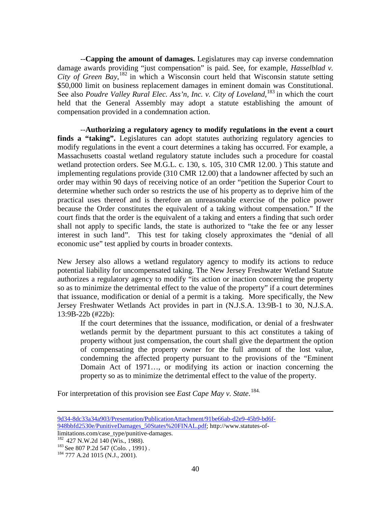--**Capping the amount of damages.** Legislatures may cap inverse condemnation damage awards providing "just compensation" is paid. See, for example, *Hasselblad v. City of Green Bay*, [182](#page-50-0) in which a Wisconsin court held that Wisconsin statute setting \$50,000 limit on business replacement damages in eminent domain was Constitutional. See also *Poudre Valley Rural Elec. Ass'n, Inc. v. City of Loveland*, <sup>[183](#page-50-1)</sup> in which the court held that the General Assembly may adopt a statute establishing the amount of compensation provided in a condemnation action.

--**Authorizing a regulatory agency to modify regulations in the event a court**  finds a "taking". Legislatures can adopt statutes authorizing regulatory agencies to modify regulations in the event a court determines a taking has occurred. For example, a Massachusetts coastal wetland regulatory statute includes such a procedure for coastal wetland protection orders. See M.G.L. c. 130, s. 105, 310 CMR 12.00. ) This statute and implementing regulations provide (310 CMR 12.00) that a landowner affected by such an order may within 90 days of receiving notice of an order "petition the Superior Court to determine whether such order so restricts the use of his property as to deprive him of the practical uses thereof and is therefore an unreasonable exercise of the police power because the Order constitutes the equivalent of a taking without compensation." If the court finds that the order is the equivalent of a taking and enters a finding that such order shall not apply to specific lands, the state is authorized to "take the fee or any lesser interest in such land". This test for taking closely approximates the "denial of all economic use" test applied by courts in broader contexts.

New Jersey also allows a wetland regulatory agency to modify its actions to reduce potential liability for uncompensated taking. The New Jersey Freshwater Wetland Statute authorizes a regulatory agency to modify "its action or inaction concerning the property so as to minimize the detrimental effect to the value of the property" if a court determines that issuance, modification or denial of a permit is a taking. More specifically, the New Jersey Freshwater Wetlands Act provides in part in (N.J.S.A. 13:9B-1 to 30, N.J.S.A. 13:9B-22b (#22b):

If the court determines that the issuance, modification, or denial of a freshwater wetlands permit by the department pursuant to this act constitutes a taking of property without just compensation, the court shall give the department the option of compensating the property owner for the full amount of the lost value, condemning the affected property pursuant to the provisions of the "Eminent Domain Act of 1971…, or modifying its action or inaction concerning the property so as to minimize the detrimental effect to the value of the property.

For interpretation of this provision see *East Cape May v. State*. [184](#page-50-2).

 $\overline{a}$ 

[<sup>9</sup>d34-8dc33a34a903/Presentation/PublicationAttachment/91be66ab-d2e9-45b9-bd6f-](http://www.hinshawlaw.com/files/Publication/b3eae98f-c98b-4fc0-9d34-8dc33a34a903/Presentation/PublicationAttachment/91be66ab-d2e9-45b9-bd6f-948bbfd2530e/PunitiveDamages_50States%20FINAL.pdf)[948bbfd2530e/PunitiveDamages\\_50States%20FINAL.pdf;](http://www.hinshawlaw.com/files/Publication/b3eae98f-c98b-4fc0-9d34-8dc33a34a903/Presentation/PublicationAttachment/91be66ab-d2e9-45b9-bd6f-948bbfd2530e/PunitiveDamages_50States%20FINAL.pdf) http://www.statutes-of-

<span id="page-50-0"></span>limitations.com/case\_type/punitive-damages. <sup>182</sup> 427 N.W.2d 140 (Wis., 1988).<br><sup>183</sup> See 807 P.2d 547 (Colo. , 1991) .<br><sup>184</sup> 777 A.2d 1015 (N.J., 2001).

<span id="page-50-2"></span><span id="page-50-1"></span>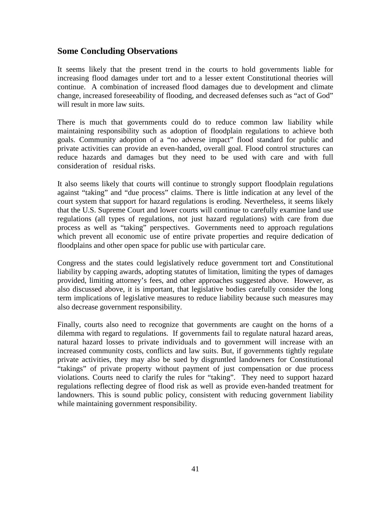# <span id="page-51-0"></span>**Some Concluding Observations**

It seems likely that the present trend in the courts to hold governments liable for increasing flood damages under tort and to a lesser extent Constitutional theories will continue. A combination of increased flood damages due to development and climate change, increased foreseeability of flooding, and decreased defenses such as "act of God" will result in more law suits.

There is much that governments could do to reduce common law liability while maintaining responsibility such as adoption of floodplain regulations to achieve both goals. Community adoption of a "no adverse impact" flood standard for public and private activities can provide an even-handed, overall goal. Flood control structures can reduce hazards and damages but they need to be used with care and with full consideration of residual risks.

It also seems likely that courts will continue to strongly support floodplain regulations against "taking" and "due process" claims. There is little indication at any level of the court system that support for hazard regulations is eroding. Nevertheless, it seems likely that the U.S. Supreme Court and lower courts will continue to carefully examine land use regulations (all types of regulations, not just hazard regulations) with care from due process as well as "taking" perspectives. Governments need to approach regulations which prevent all economic use of entire private properties and require dedication of floodplains and other open space for public use with particular care.

Congress and the states could legislatively reduce government tort and Constitutional liability by capping awards, adopting statutes of limitation, limiting the types of damages provided, limiting attorney's fees, and other approaches suggested above. However, as also discussed above, it is important, that legislative bodies carefully consider the long term implications of legislative measures to reduce liability because such measures may also decrease government responsibility.

Finally, courts also need to recognize that governments are caught on the horns of a dilemma with regard to regulations. If governments fail to regulate natural hazard areas, natural hazard losses to private individuals and to government will increase with an increased community costs, conflicts and law suits. But, if governments tightly regulate private activities, they may also be sued by disgruntled landowners for Constitutional "takings" of private property without payment of just compensation or due process violations. Courts need to clarify the rules for "taking". They need to support hazard regulations reflecting degree of flood risk as well as provide even-handed treatment for landowners. This is sound public policy, consistent with reducing government liability while maintaining government responsibility.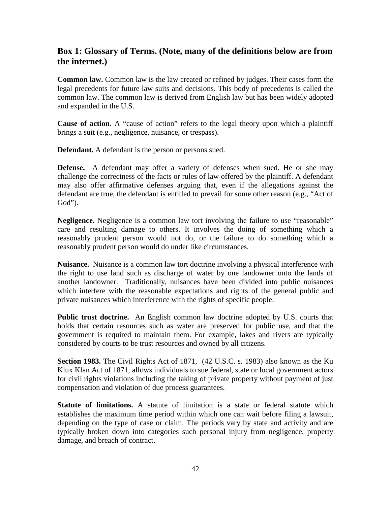# <span id="page-52-0"></span>**Box 1: Glossary of Terms. (Note, many of the definitions below are from the internet.)**

**Common law.** Common law is the law created or refined by judges. Their cases form the legal precedents for future law suits and decisions. This body of precedents is called the common law. The common law is derived from English law but has been widely adopted and expanded in the U.S.

**Cause of action.** A "cause of action" refers to the legal theory upon which a plaintiff brings a suit (e.g., negligence, nuisance, or trespass).

**Defendant.** A defendant is the person or persons sued.

**Defense.** A defendant may offer a variety of defenses when sued. He or she may challenge the correctness of the facts or rules of law offered by the plaintiff. A defendant may also offer affirmative defenses arguing that, even if the allegations against the defendant are true, the defendant is entitled to prevail for some other reason (e.g., "Act of God").

**Negligence.** Negligence is a common law tort involving the failure to use "reasonable" care and resulting damage to others. It involves the doing of something which a reasonably prudent person would not do, or the failure to do something which a reasonably prudent person would do under like circumstances.

**Nuisance.** Nuisance is a common law tort doctrine involving a physical interference with the right to use land such as discharge of water by one landowner onto the lands of another landowner. Traditionally, nuisances have been divided into public nuisances which interfere with the reasonable expectations and rights of the general public and private nuisances which interference with the rights of specific people.

**Public trust doctrine.** An English common law doctrine adopted by U.S. courts that holds that certain resources such as water are preserved for public use, and that the government is required to maintain them. For example, lakes and rivers are typically considered by courts to be trust resources and owned by all citizens.

**Section 1983.** The Civil Rights Act of 1871, (42 U.S.C. s. 1983) also known as the Ku Klux Klan Act of 1871, allows individuals to sue federal, state or local government actors for civil rights violations including the taking of private property without payment of just compensation and violation of due process guarantees.

**Statute of limitations.** A statute of limitation is a state or federal statute which establishes the maximum time period within which one can wait before filing a lawsuit, depending on the type of case or claim. The periods vary by state and activity and are typically broken down into categories such personal injury from negligence, property damage, and breach of contract.